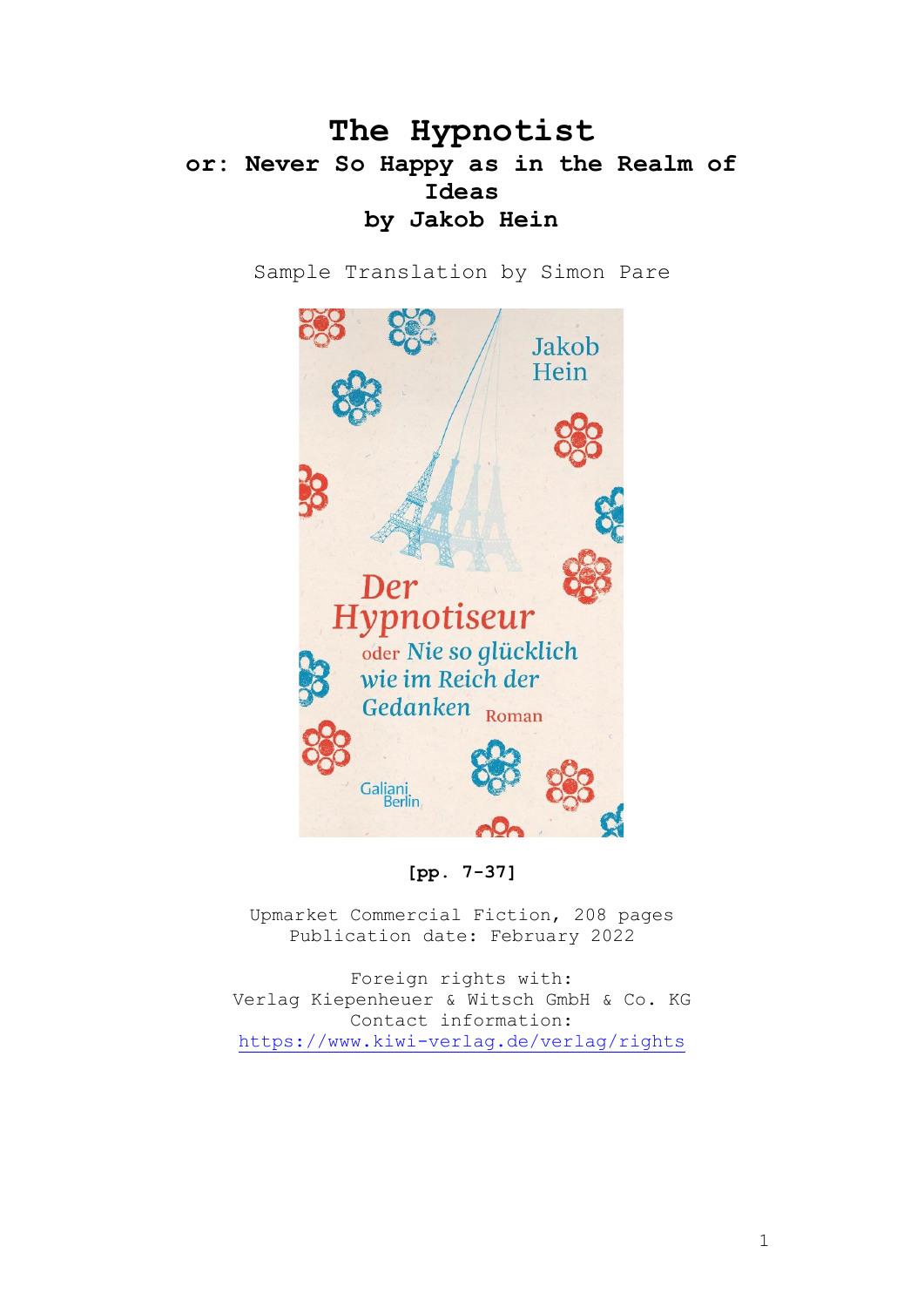## **The Hypnotist or: Never So Happy as in the Realm of Ideas by Jakob Hein**

Sample Translation by Simon Pare



**[pp. 7-37]**

Upmarket Commercial Fiction, 208 pages Publication date: February 2022

Foreign rights with: Verlag Kiepenheuer & Witsch GmbH & Co. KG Contact information: <https://www.kiwi-verlag.de/verlag/rights>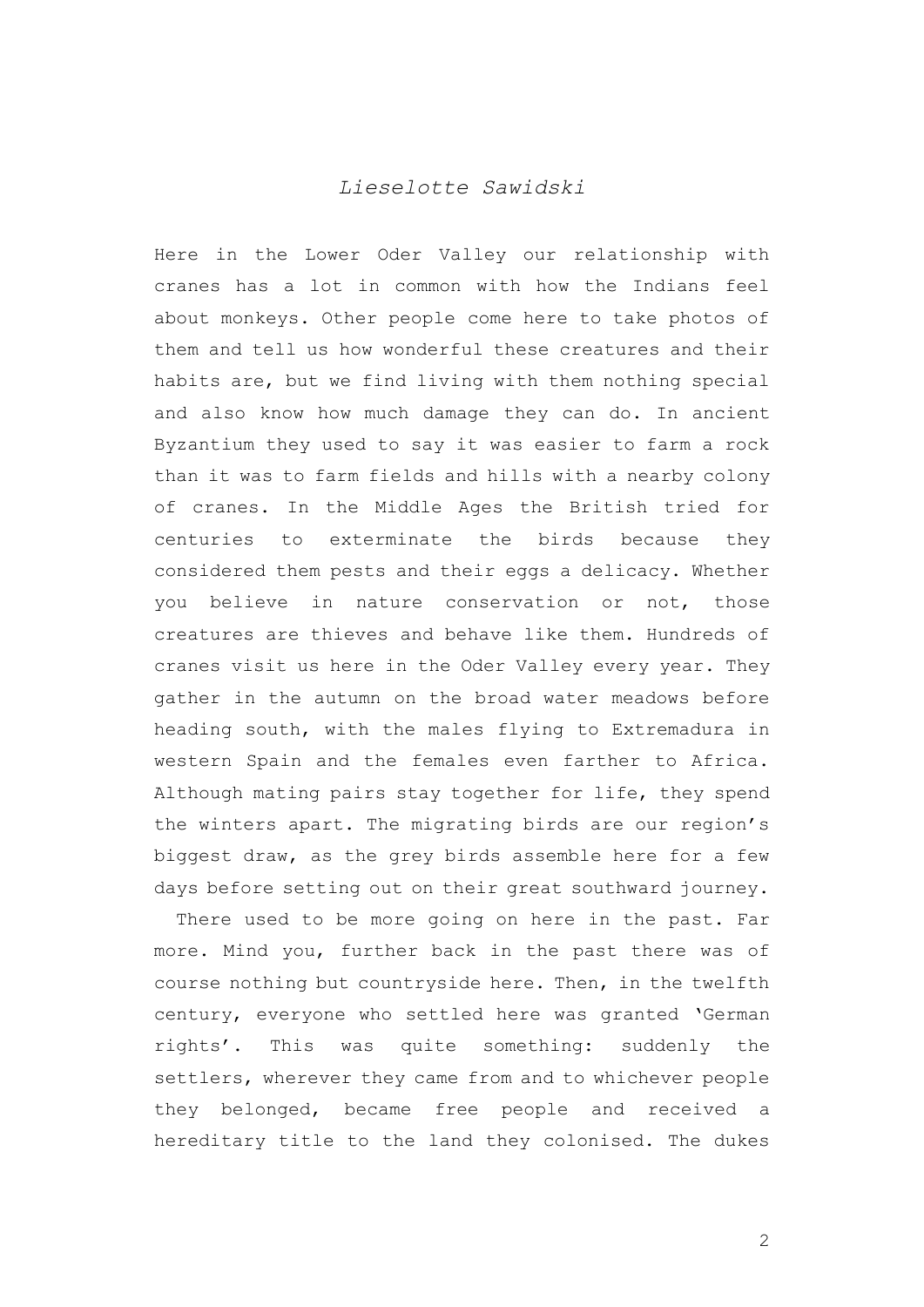## *Lieselotte Sawidski*

Here in the Lower Oder Valley our relationship with cranes has a lot in common with how the Indians feel about monkeys. Other people come here to take photos of them and tell us how wonderful these creatures and their habits are, but we find living with them nothing special and also know how much damage they can do. In ancient Byzantium they used to say it was easier to farm a rock than it was to farm fields and hills with a nearby colony of cranes. In the Middle Ages the British tried for centuries to exterminate the birds because they considered them pests and their eggs a delicacy. Whether you believe in nature conservation or not, those creatures are thieves and behave like them. Hundreds of cranes visit us here in the Oder Valley every year. They gather in the autumn on the broad water meadows before heading south, with the males flying to Extremadura in western Spain and the females even farther to Africa. Although mating pairs stay together for life, they spend the winters apart. The migrating birds are our region's biggest draw, as the grey birds assemble here for a few days before setting out on their great southward journey.

There used to be more going on here in the past. Far more. Mind you, further back in the past there was of course nothing but countryside here. Then, in the twelfth century, everyone who settled here was granted 'German rights'. This was quite something: suddenly the settlers, wherever they came from and to whichever people they belonged, became free people and received a hereditary title to the land they colonised. The dukes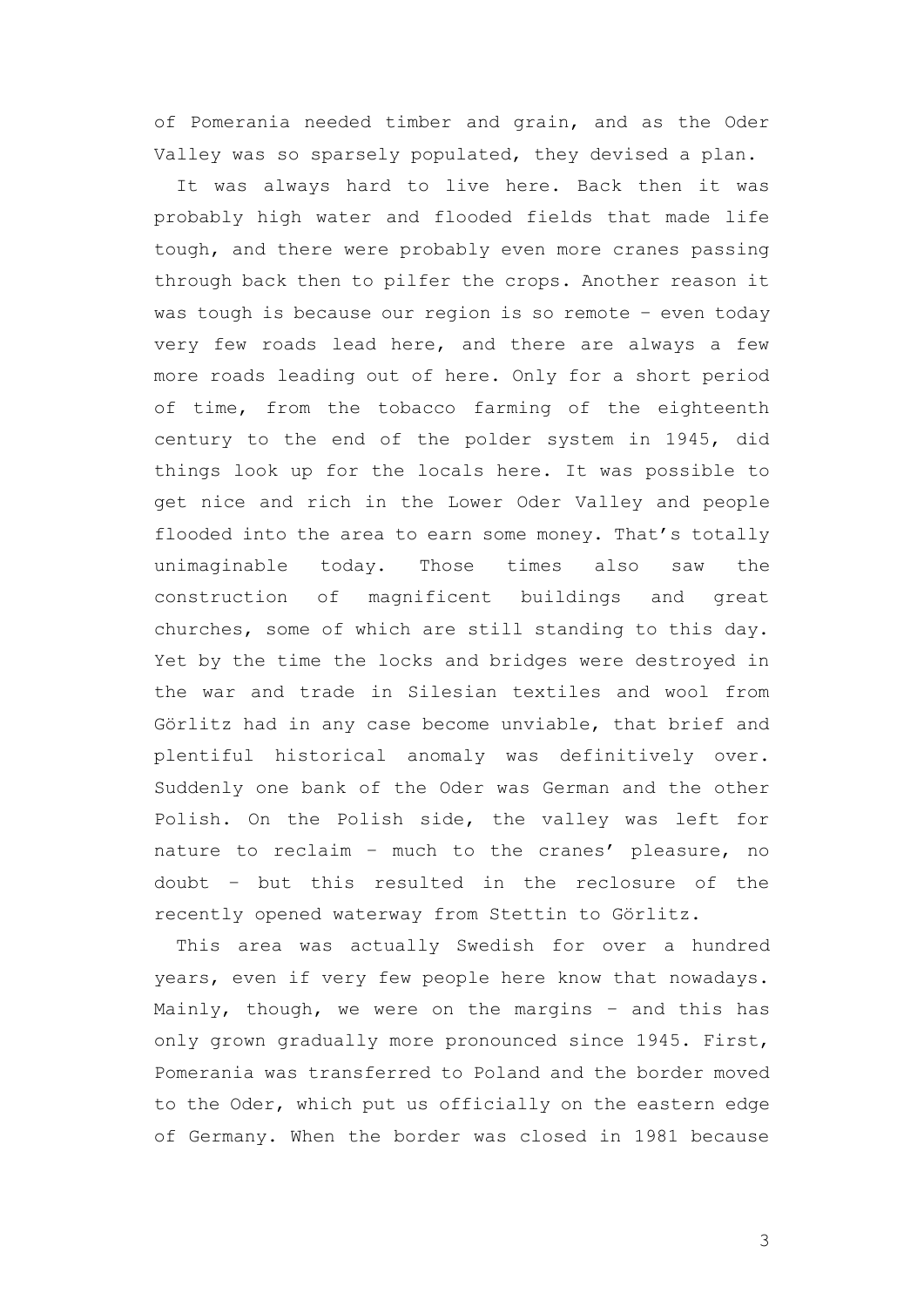of Pomerania needed timber and grain, and as the Oder Valley was so sparsely populated, they devised a plan.

It was always hard to live here. Back then it was probably high water and flooded fields that made life tough, and there were probably even more cranes passing through back then to pilfer the crops. Another reason it was tough is because our region is so remote – even today very few roads lead here, and there are always a few more roads leading out of here. Only for a short period of time, from the tobacco farming of the eighteenth century to the end of the polder system in 1945, did things look up for the locals here. It was possible to get nice and rich in the Lower Oder Valley and people flooded into the area to earn some money. That's totally unimaginable today. Those times also saw the construction of magnificent buildings and great churches, some of which are still standing to this day. Yet by the time the locks and bridges were destroyed in the war and trade in Silesian textiles and wool from Görlitz had in any case become unviable, that brief and plentiful historical anomaly was definitively over. Suddenly one bank of the Oder was German and the other Polish. On the Polish side, the valley was left for nature to reclaim – much to the cranes' pleasure, no doubt – but this resulted in the reclosure of the recently opened waterway from Stettin to Görlitz.

This area was actually Swedish for over a hundred years, even if very few people here know that nowadays. Mainly, though, we were on the margins – and this has only grown gradually more pronounced since 1945. First, Pomerania was transferred to Poland and the border moved to the Oder, which put us officially on the eastern edge of Germany. When the border was closed in 1981 because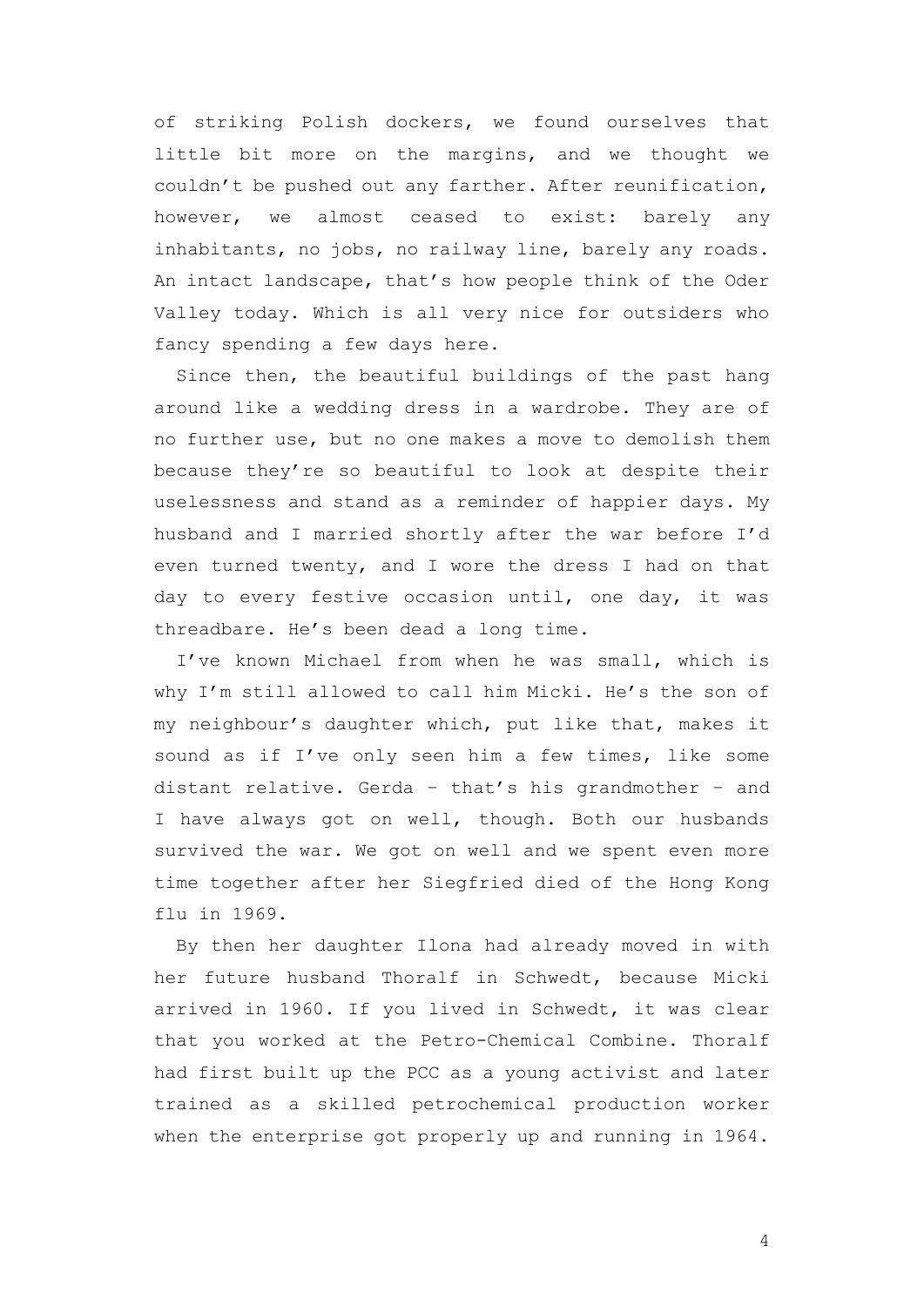of striking Polish dockers, we found ourselves that little bit more on the margins, and we thought we couldn't be pushed out any farther. After reunification, however, we almost ceased to exist: barely any inhabitants, no jobs, no railway line, barely any roads. An intact landscape, that's how people think of the Oder Valley today. Which is all very nice for outsiders who fancy spending a few days here.

Since then, the beautiful buildings of the past hang around like a wedding dress in a wardrobe. They are of no further use, but no one makes a move to demolish them because they're so beautiful to look at despite their uselessness and stand as a reminder of happier days. My husband and I married shortly after the war before I'd even turned twenty, and I wore the dress I had on that day to every festive occasion until, one day, it was threadbare. He's been dead a long time.

I've known Michael from when he was small, which is why I'm still allowed to call him Micki. He's the son of my neighbour's daughter which, put like that, makes it sound as if I've only seen him a few times, like some distant relative. Gerda – that's his grandmother – and I have always got on well, though. Both our husbands survived the war. We got on well and we spent even more time together after her Siegfried died of the Hong Kong flu in 1969.

By then her daughter Ilona had already moved in with her future husband Thoralf in Schwedt, because Micki arrived in 1960. If you lived in Schwedt, it was clear that you worked at the Petro-Chemical Combine. Thoralf had first built up the PCC as a young activist and later trained as a skilled petrochemical production worker when the enterprise got properly up and running in 1964.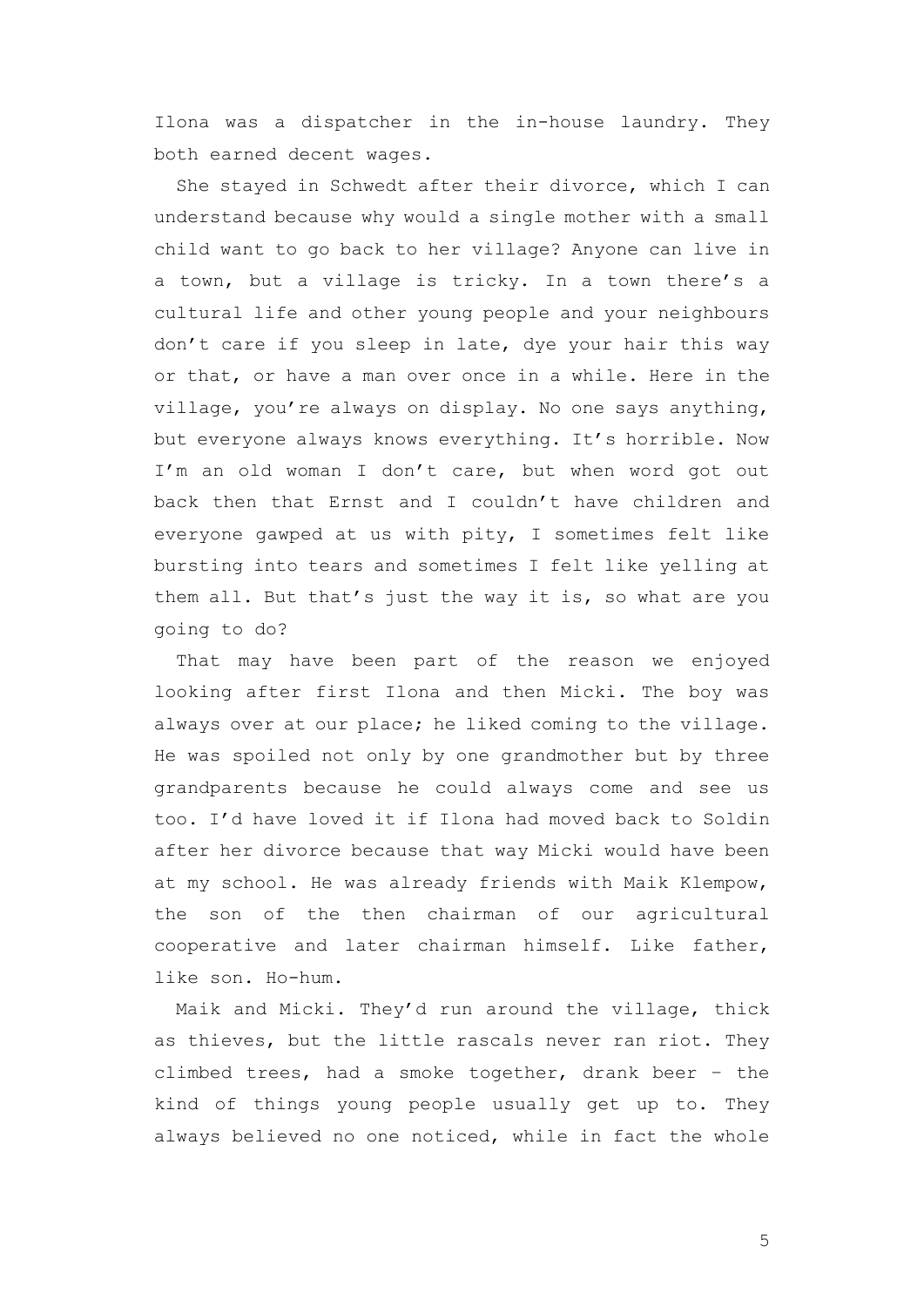Ilona was a dispatcher in the in-house laundry. They both earned decent wages.

She stayed in Schwedt after their divorce, which I can understand because why would a single mother with a small child want to go back to her village? Anyone can live in a town, but a village is tricky. In a town there's a cultural life and other young people and your neighbours don't care if you sleep in late, dye your hair this way or that, or have a man over once in a while. Here in the village, you're always on display. No one says anything, but everyone always knows everything. It's horrible. Now I'm an old woman I don't care, but when word got out back then that Ernst and I couldn't have children and everyone gawped at us with pity, I sometimes felt like bursting into tears and sometimes I felt like yelling at them all. But that's just the way it is, so what are you going to do?

That may have been part of the reason we enjoyed looking after first Ilona and then Micki. The boy was always over at our place; he liked coming to the village. He was spoiled not only by one grandmother but by three grandparents because he could always come and see us too. I'd have loved it if Ilona had moved back to Soldin after her divorce because that way Micki would have been at my school. He was already friends with Maik Klempow, the son of the then chairman of our agricultural cooperative and later chairman himself. Like father, like son. Ho-hum.

Maik and Micki. They'd run around the village, thick as thieves, but the little rascals never ran riot. They climbed trees, had a smoke together, drank beer – the kind of things young people usually get up to. They always believed no one noticed, while in fact the whole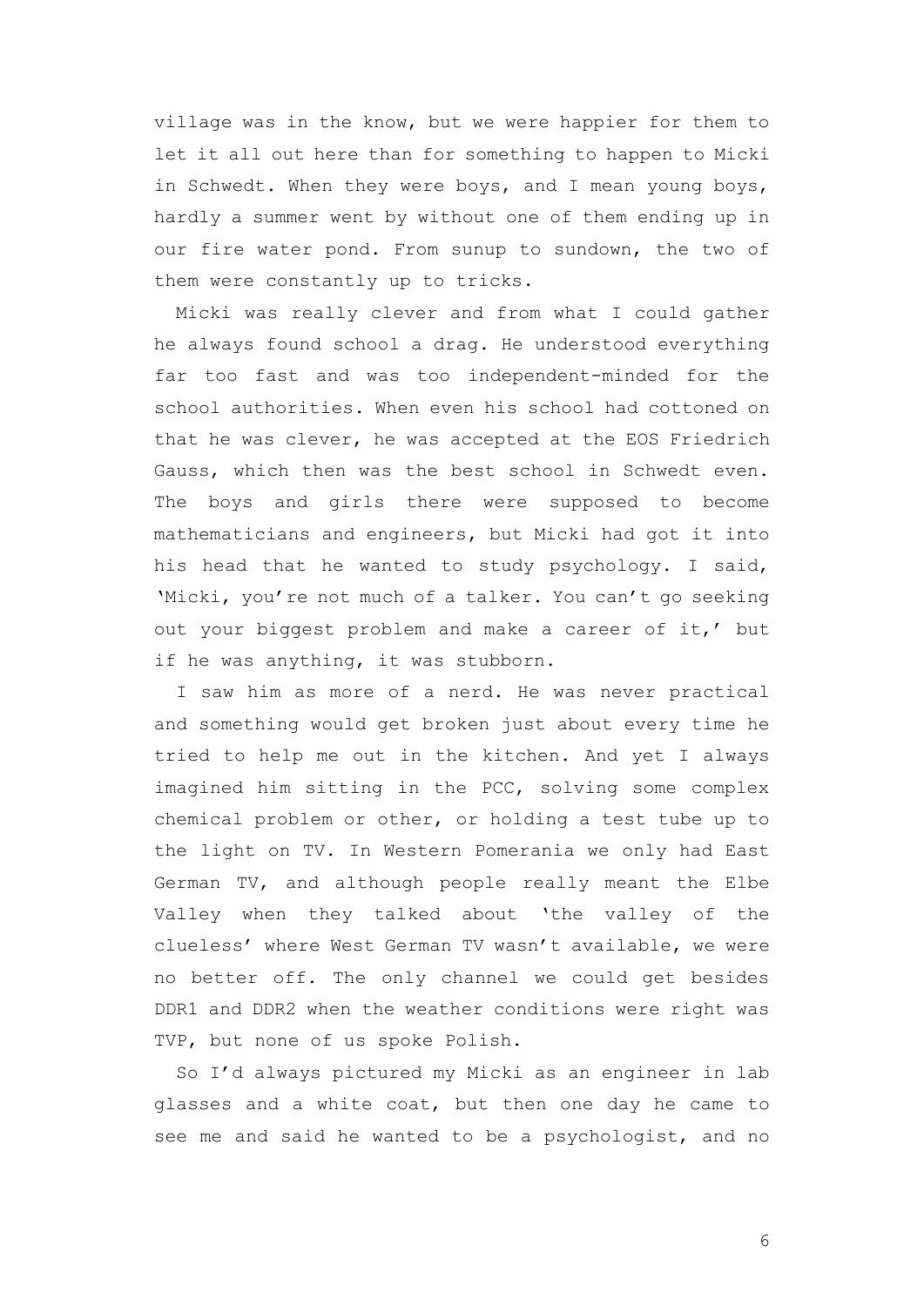village was in the know, but we were happier for them to let it all out here than for something to happen to Micki in Schwedt. When they were boys, and I mean young boys, hardly a summer went by without one of them ending up in our fire water pond. From sunup to sundown, the two of them were constantly up to tricks.

Micki was really clever and from what I could gather he always found school a drag. He understood everything far too fast and was too independent-minded for the school authorities. When even his school had cottoned on that he was clever, he was accepted at the EOS Friedrich Gauss, which then was the best school in Schwedt even. The boys and girls there were supposed to become mathematicians and engineers, but Micki had got it into his head that he wanted to study psychology. I said, 'Micki, you're not much of a talker. You can't go seeking out your biggest problem and make a career of it,' but if he was anything, it was stubborn.

I saw him as more of a nerd. He was never practical and something would get broken just about every time he tried to help me out in the kitchen. And yet I always imagined him sitting in the PCC, solving some complex chemical problem or other, or holding a test tube up to the light on TV. In Western Pomerania we only had East German TV, and although people really meant the Elbe Valley when they talked about 'the valley of the clueless' where West German TV wasn't available, we were no better off. The only channel we could get besides DDR1 and DDR2 when the weather conditions were right was TVP, but none of us spoke Polish.

So I'd always pictured my Micki as an engineer in lab glasses and a white coat, but then one day he came to see me and said he wanted to be a psychologist, and no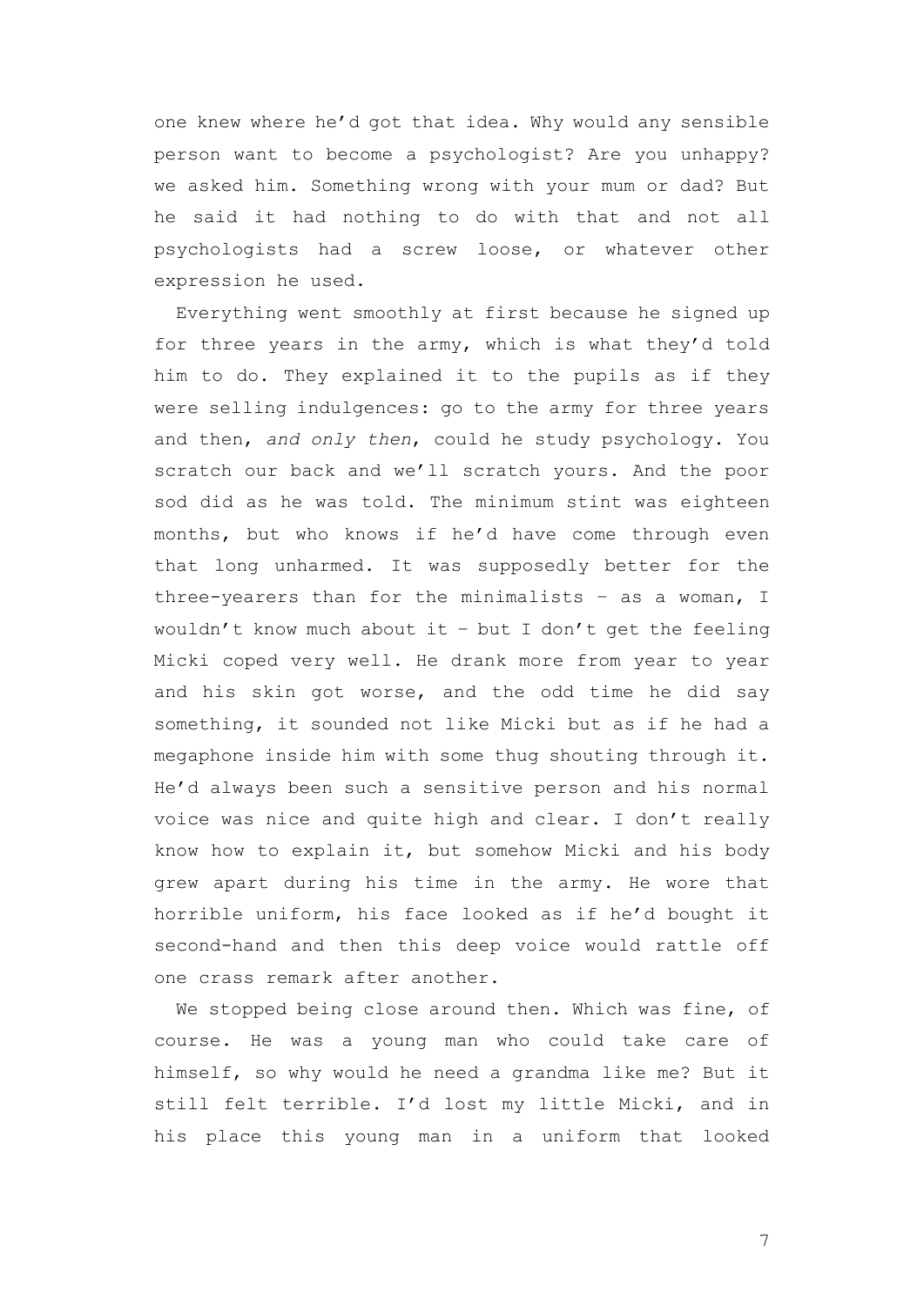one knew where he'd got that idea. Why would any sensible person want to become a psychologist? Are you unhappy? we asked him. Something wrong with your mum or dad? But he said it had nothing to do with that and not all psychologists had a screw loose, or whatever other expression he used.

Everything went smoothly at first because he signed up for three years in the army, which is what they'd told him to do. They explained it to the pupils as if they were selling indulgences: go to the army for three years and then, *and only then*, could he study psychology. You scratch our back and we'll scratch yours. And the poor sod did as he was told. The minimum stint was eighteen months, but who knows if he'd have come through even that long unharmed. It was supposedly better for the three-yearers than for the minimalists – as a woman, I wouldn't know much about it – but I don't get the feeling Micki coped very well. He drank more from year to year and his skin got worse, and the odd time he did say something, it sounded not like Micki but as if he had a megaphone inside him with some thug shouting through it. He'd always been such a sensitive person and his normal voice was nice and quite high and clear. I don't really know how to explain it, but somehow Micki and his body grew apart during his time in the army. He wore that horrible uniform, his face looked as if he'd bought it second-hand and then this deep voice would rattle off one crass remark after another.

We stopped being close around then. Which was fine, of course. He was a young man who could take care of himself, so why would he need a grandma like me? But it still felt terrible. I'd lost my little Micki, and in his place this young man in a uniform that looked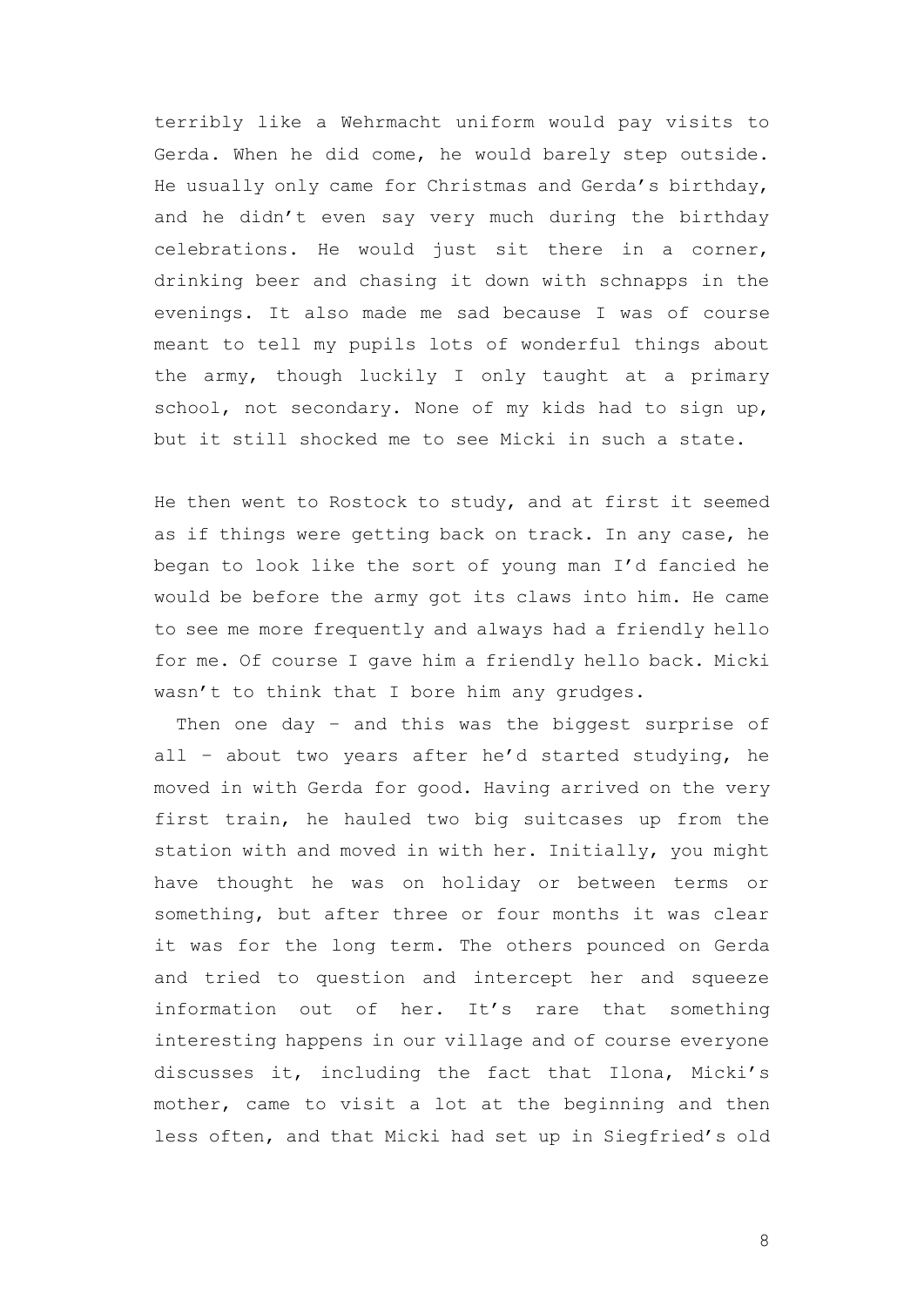terribly like a Wehrmacht uniform would pay visits to Gerda. When he did come, he would barely step outside. He usually only came for Christmas and Gerda's birthday, and he didn't even say very much during the birthday celebrations. He would just sit there in a corner, drinking beer and chasing it down with schnapps in the evenings. It also made me sad because I was of course meant to tell my pupils lots of wonderful things about the army, though luckily I only taught at a primary school, not secondary. None of my kids had to sign up, but it still shocked me to see Micki in such a state.

He then went to Rostock to study, and at first it seemed as if things were getting back on track. In any case, he began to look like the sort of young man I'd fancied he would be before the army got its claws into him. He came to see me more frequently and always had a friendly hello for me. Of course I gave him a friendly hello back. Micki wasn't to think that I bore him any grudges.

Then one day - and this was the biggest surprise of all – about two years after he'd started studying, he moved in with Gerda for good. Having arrived on the very first train, he hauled two big suitcases up from the station with and moved in with her. Initially, you might have thought he was on holiday or between terms or something, but after three or four months it was clear it was for the long term. The others pounced on Gerda and tried to question and intercept her and squeeze information out of her. It's rare that something interesting happens in our village and of course everyone discusses it, including the fact that Ilona, Micki's mother, came to visit a lot at the beginning and then less often, and that Micki had set up in Siegfried's old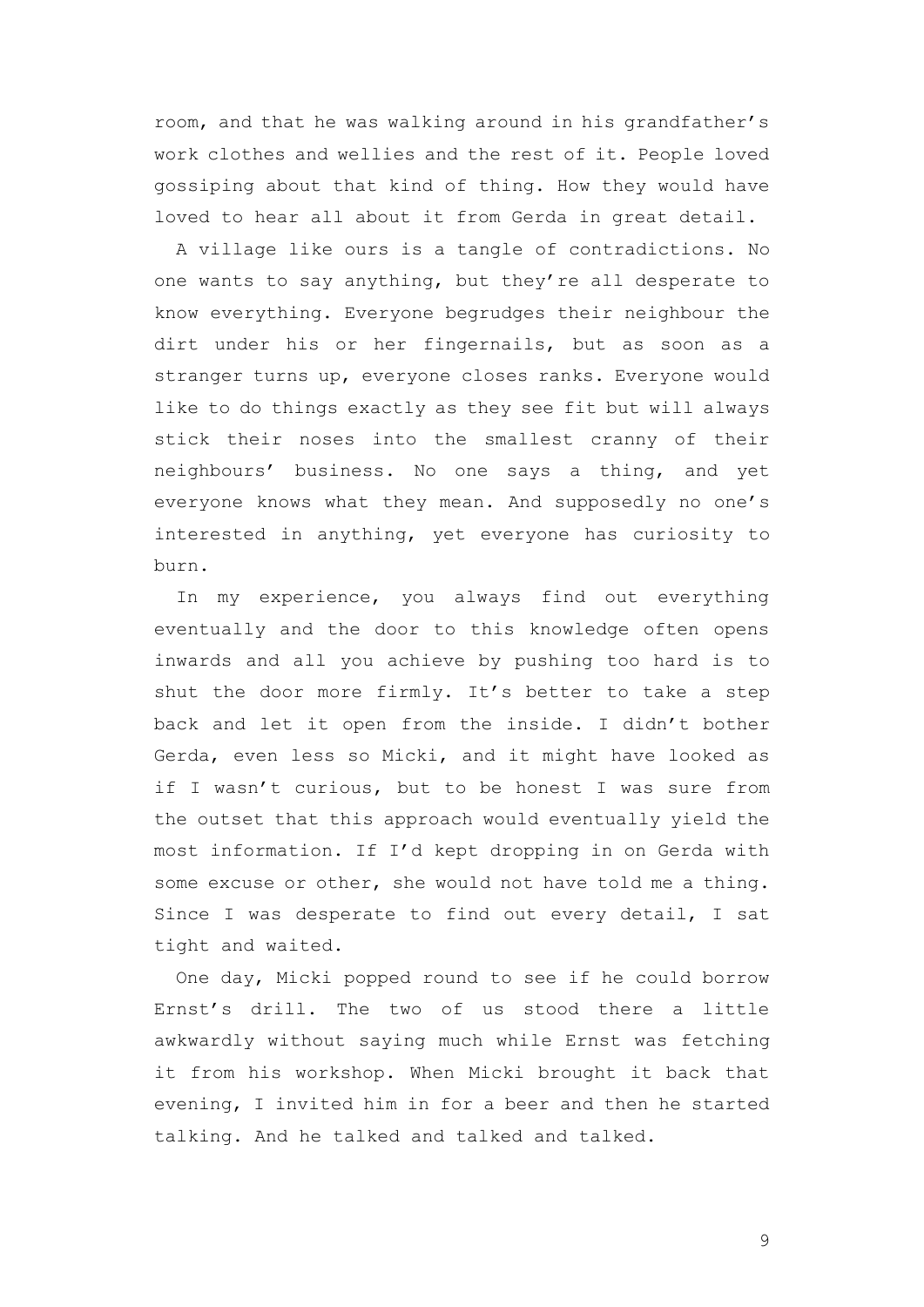room, and that he was walking around in his grandfather's work clothes and wellies and the rest of it. People loved gossiping about that kind of thing. How they would have loved to hear all about it from Gerda in great detail.

A village like ours is a tangle of contradictions. No one wants to say anything, but they're all desperate to know everything. Everyone begrudges their neighbour the dirt under his or her fingernails, but as soon as a stranger turns up, everyone closes ranks. Everyone would like to do things exactly as they see fit but will always stick their noses into the smallest cranny of their neighbours' business. No one says a thing, and yet everyone knows what they mean. And supposedly no one's interested in anything, yet everyone has curiosity to burn.

In my experience, you always find out everything eventually and the door to this knowledge often opens inwards and all you achieve by pushing too hard is to shut the door more firmly. It's better to take a step back and let it open from the inside. I didn't bother Gerda, even less so Micki, and it might have looked as if I wasn't curious, but to be honest I was sure from the outset that this approach would eventually yield the most information. If I'd kept dropping in on Gerda with some excuse or other, she would not have told me a thing. Since I was desperate to find out every detail, I sat tight and waited.

One day, Micki popped round to see if he could borrow Ernst's drill. The two of us stood there a little awkwardly without saying much while Ernst was fetching it from his workshop. When Micki brought it back that evening, I invited him in for a beer and then he started talking. And he talked and talked and talked.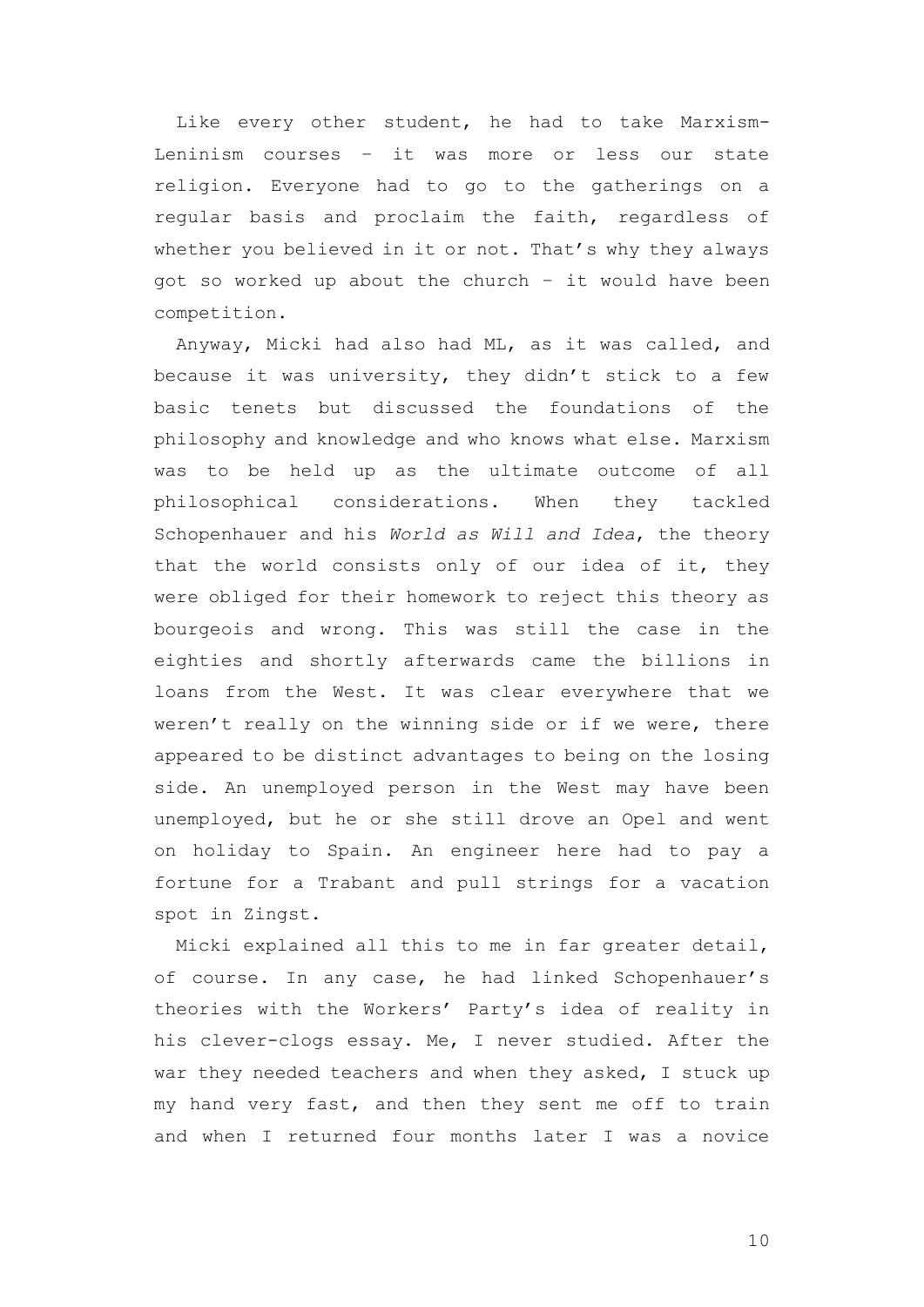Like every other student, he had to take Marxism-Leninism courses – it was more or less our state religion. Everyone had to go to the gatherings on a regular basis and proclaim the faith, regardless of whether you believed in it or not. That's why they always got so worked up about the church – it would have been competition.

Anyway, Micki had also had ML, as it was called, and because it was university, they didn't stick to a few basic tenets but discussed the foundations of the philosophy and knowledge and who knows what else. Marxism was to be held up as the ultimate outcome of all philosophical considerations. When they tackled Schopenhauer and his *World as Will and Idea*, the theory that the world consists only of our idea of it, they were obliged for their homework to reject this theory as bourgeois and wrong. This was still the case in the eighties and shortly afterwards came the billions in loans from the West. It was clear everywhere that we weren't really on the winning side or if we were, there appeared to be distinct advantages to being on the losing side. An unemployed person in the West may have been unemployed, but he or she still drove an Opel and went on holiday to Spain. An engineer here had to pay a fortune for a Trabant and pull strings for a vacation spot in Zingst.

Micki explained all this to me in far greater detail, of course. In any case, he had linked Schopenhauer's theories with the Workers' Party's idea of reality in his clever-clogs essay. Me, I never studied. After the war they needed teachers and when they asked, I stuck up my hand very fast, and then they sent me off to train and when I returned four months later I was a novice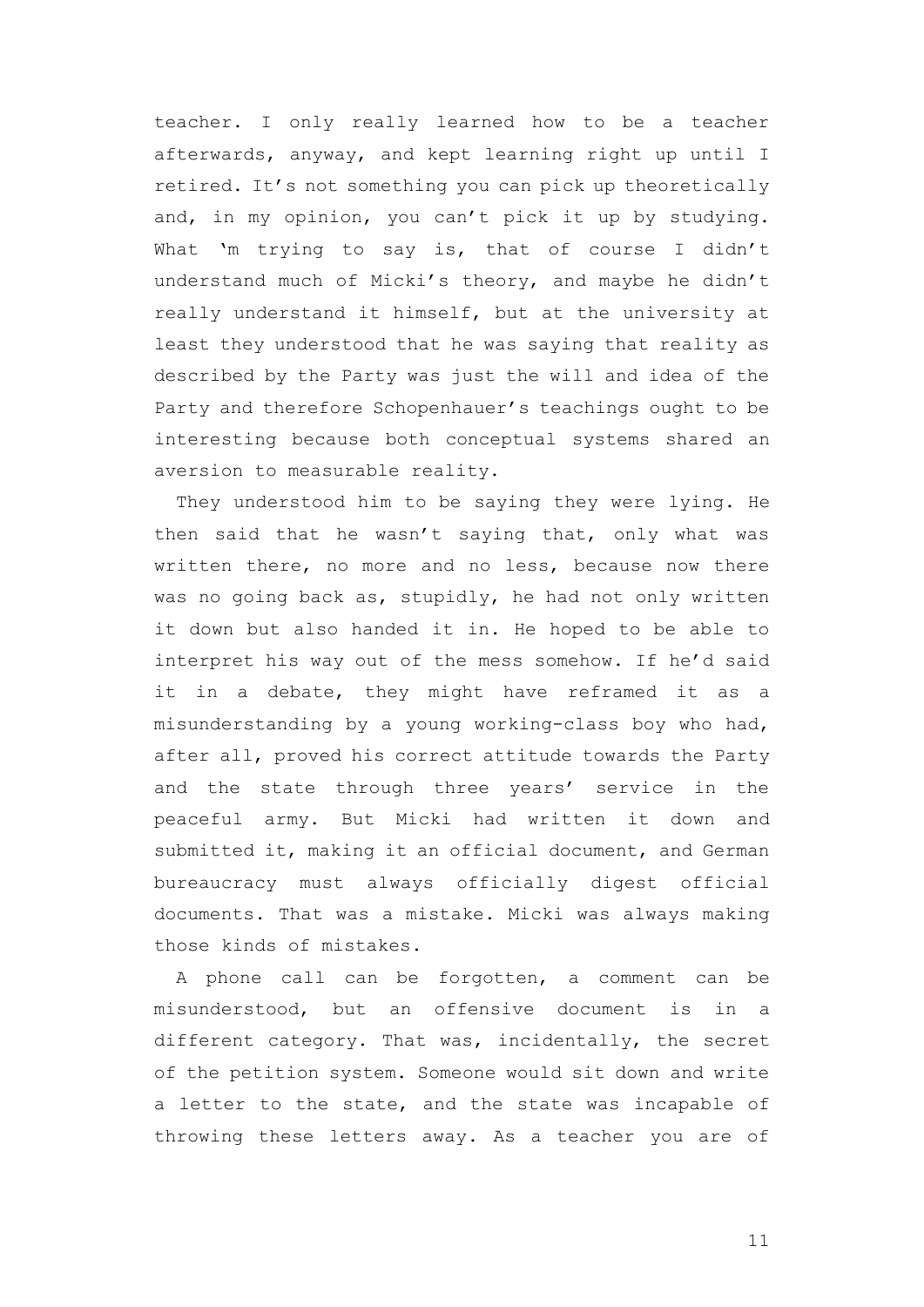teacher. I only really learned how to be a teacher afterwards, anyway, and kept learning right up until I retired. It's not something you can pick up theoretically and, in my opinion, you can't pick it up by studying. What 'm trying to say is, that of course I didn't understand much of Micki's theory, and maybe he didn't really understand it himself, but at the university at least they understood that he was saying that reality as described by the Party was just the will and idea of the Party and therefore Schopenhauer's teachings ought to be interesting because both conceptual systems shared an aversion to measurable reality.

They understood him to be saying they were lying. He then said that he wasn't saying that, only what was written there, no more and no less, because now there was no going back as, stupidly, he had not only written it down but also handed it in. He hoped to be able to interpret his way out of the mess somehow. If he'd said it in a debate, they might have reframed it as a misunderstanding by a young working-class boy who had, after all, proved his correct attitude towards the Party and the state through three years' service in the peaceful army. But Micki had written it down and submitted it, making it an official document, and German bureaucracy must always officially digest official documents. That was a mistake. Micki was always making those kinds of mistakes.

A phone call can be forgotten, a comment can be misunderstood, but an offensive document is in a different category. That was, incidentally, the secret of the petition system. Someone would sit down and write a letter to the state, and the state was incapable of throwing these letters away. As a teacher you are of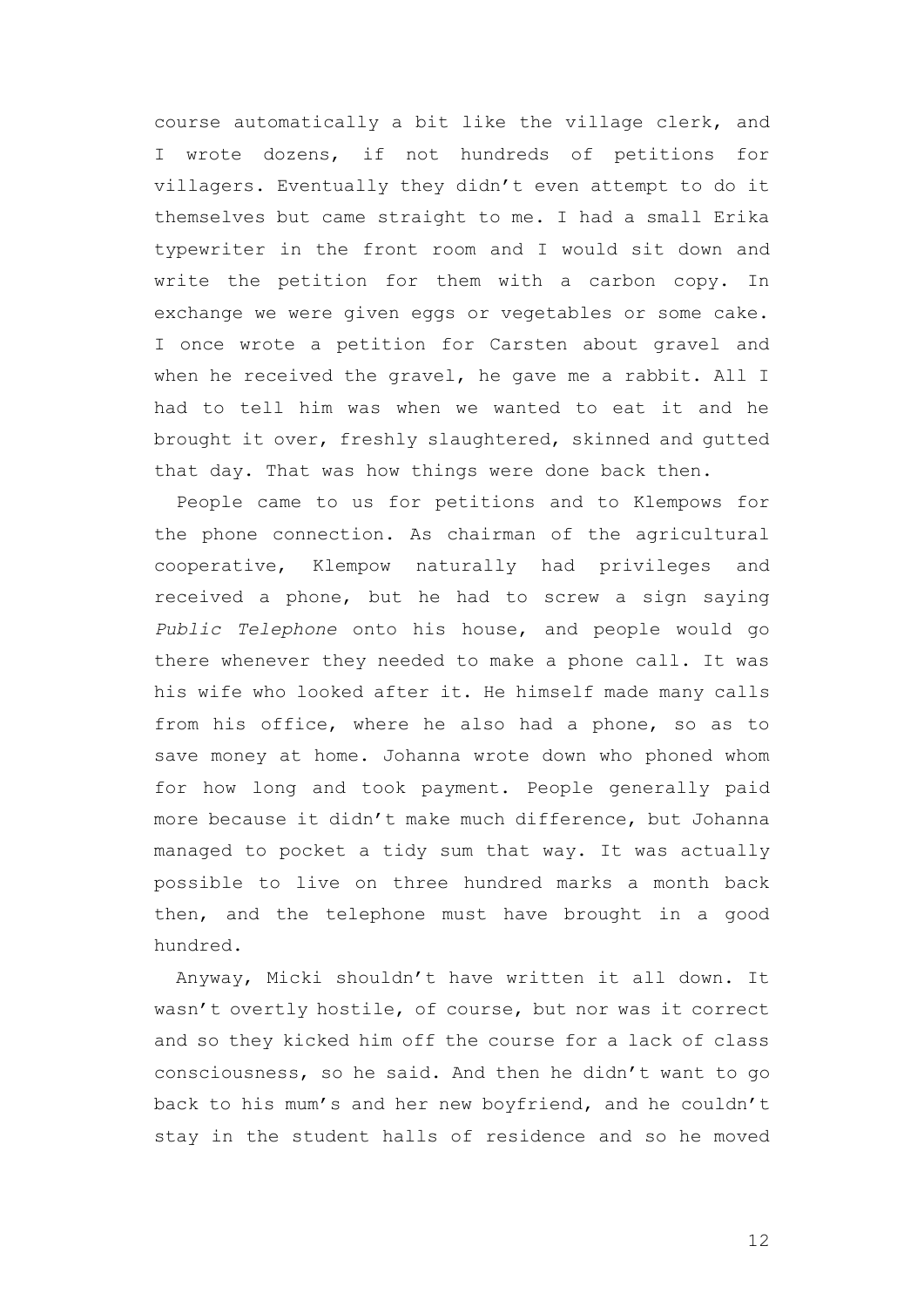course automatically a bit like the village clerk, and I wrote dozens, if not hundreds of petitions for villagers. Eventually they didn't even attempt to do it themselves but came straight to me. I had a small Erika typewriter in the front room and I would sit down and write the petition for them with a carbon copy. In exchange we were given eggs or vegetables or some cake. I once wrote a petition for Carsten about gravel and when he received the gravel, he gave me a rabbit. All I had to tell him was when we wanted to eat it and he brought it over, freshly slaughtered, skinned and gutted that day. That was how things were done back then.

People came to us for petitions and to Klempows for the phone connection. As chairman of the agricultural cooperative, Klempow naturally had privileges and received a phone, but he had to screw a sign saying *Public Telephone* onto his house, and people would go there whenever they needed to make a phone call. It was his wife who looked after it. He himself made many calls from his office, where he also had a phone, so as to save money at home. Johanna wrote down who phoned whom for how long and took payment. People generally paid more because it didn't make much difference, but Johanna managed to pocket a tidy sum that way. It was actually possible to live on three hundred marks a month back then, and the telephone must have brought in a good hundred.

Anyway, Micki shouldn't have written it all down. It wasn't overtly hostile, of course, but nor was it correct and so they kicked him off the course for a lack of class consciousness, so he said. And then he didn't want to go back to his mum's and her new boyfriend, and he couldn't stay in the student halls of residence and so he moved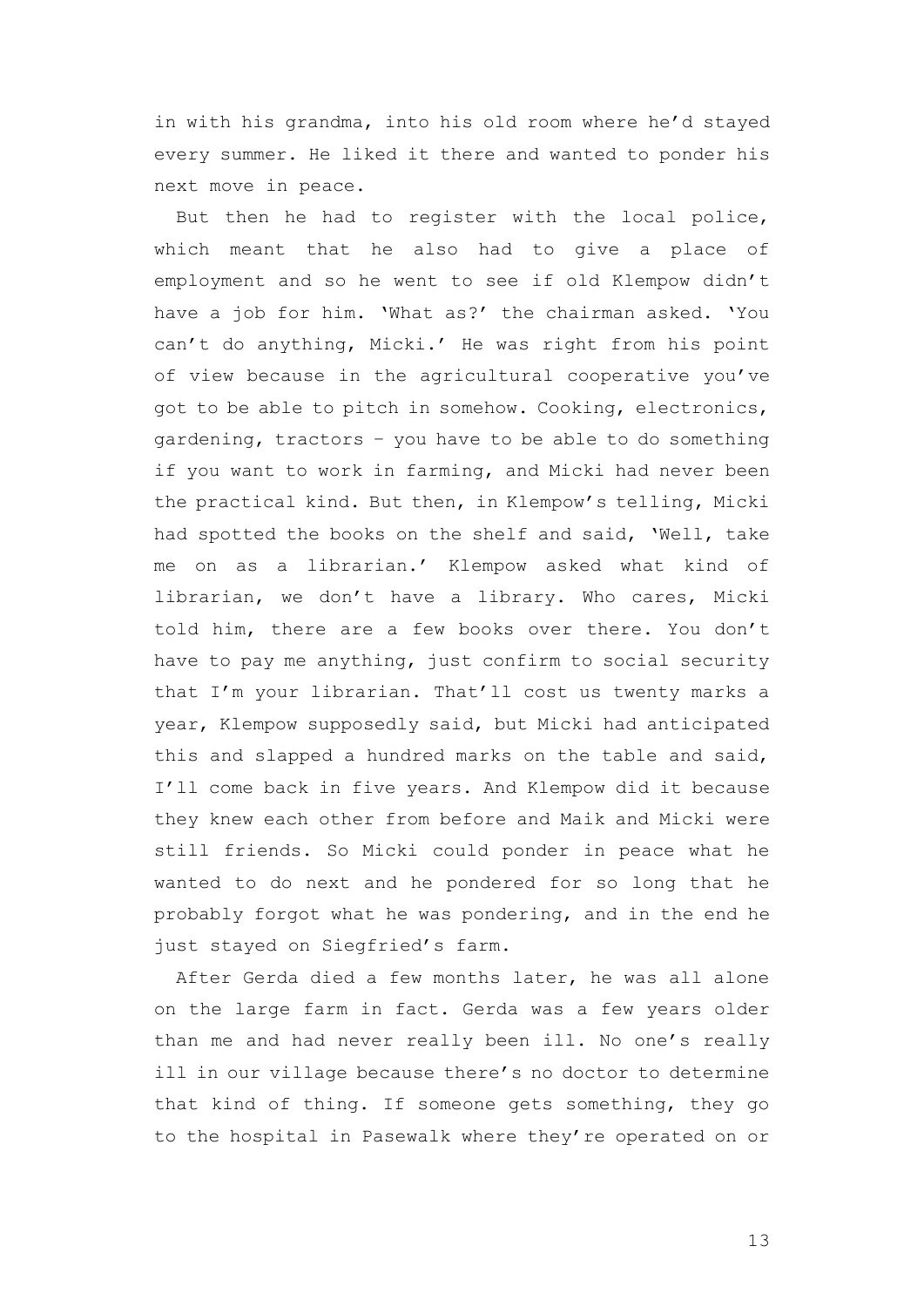in with his grandma, into his old room where he'd stayed every summer. He liked it there and wanted to ponder his next move in peace.

But then he had to register with the local police, which meant that he also had to give a place of employment and so he went to see if old Klempow didn't have a job for him. 'What as?' the chairman asked. 'You can't do anything, Micki.' He was right from his point of view because in the agricultural cooperative you've got to be able to pitch in somehow. Cooking, electronics, gardening, tractors – you have to be able to do something if you want to work in farming, and Micki had never been the practical kind. But then, in Klempow's telling, Micki had spotted the books on the shelf and said, 'Well, take me on as a librarian.' Klempow asked what kind of librarian, we don't have a library. Who cares, Micki told him, there are a few books over there. You don't have to pay me anything, just confirm to social security that I'm your librarian. That'll cost us twenty marks a year, Klempow supposedly said, but Micki had anticipated this and slapped a hundred marks on the table and said, I'll come back in five years. And Klempow did it because they knew each other from before and Maik and Micki were still friends. So Micki could ponder in peace what he wanted to do next and he pondered for so long that he probably forgot what he was pondering, and in the end he just stayed on Siegfried's farm.

After Gerda died a few months later, he was all alone on the large farm in fact. Gerda was a few years older than me and had never really been ill. No one's really ill in our village because there's no doctor to determine that kind of thing. If someone gets something, they go to the hospital in Pasewalk where they're operated on or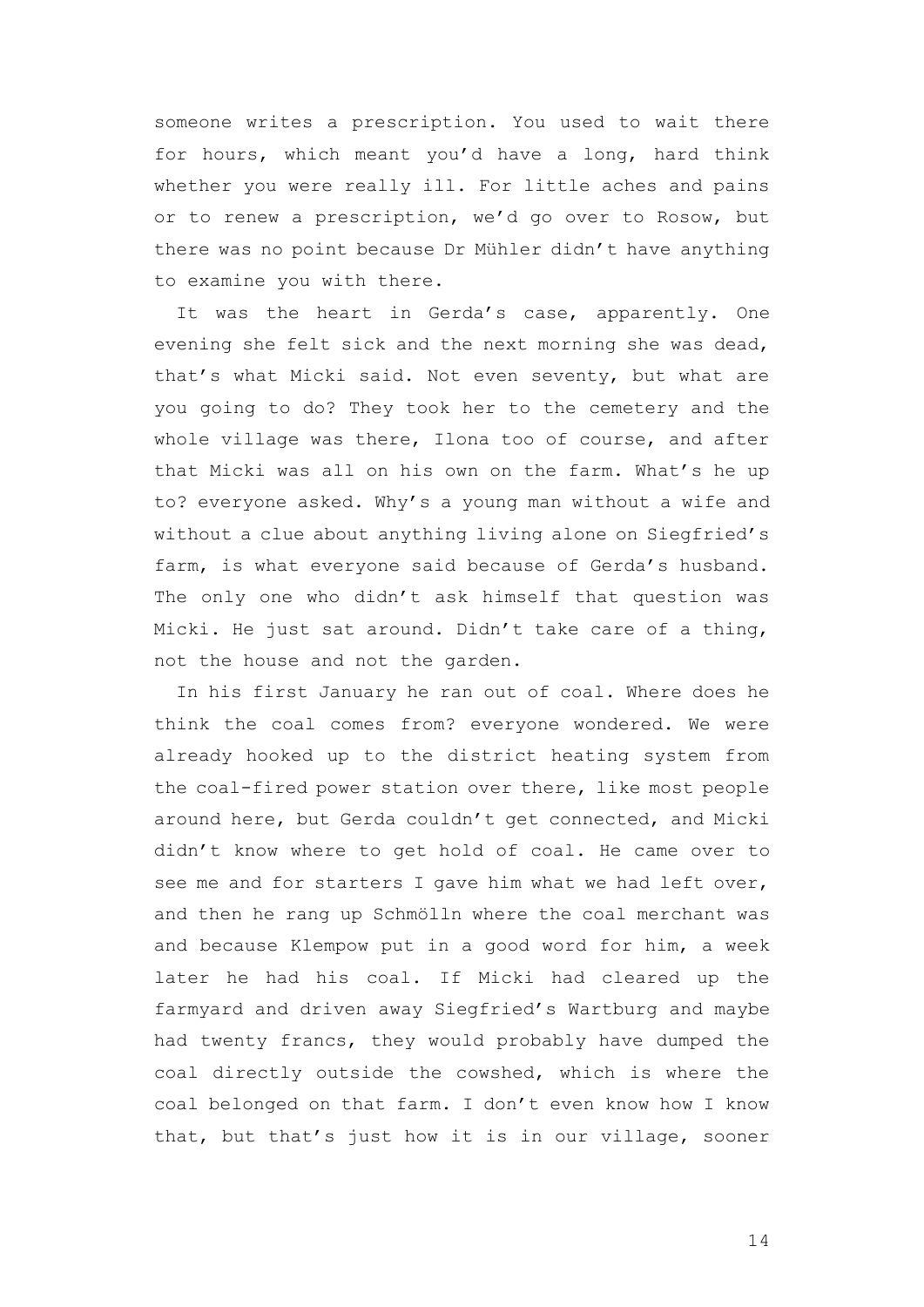someone writes a prescription. You used to wait there for hours, which meant you'd have a long, hard think whether you were really ill. For little aches and pains or to renew a prescription, we'd go over to Rosow, but there was no point because Dr Mühler didn't have anything to examine you with there.

It was the heart in Gerda's case, apparently. One evening she felt sick and the next morning she was dead, that's what Micki said. Not even seventy, but what are you going to do? They took her to the cemetery and the whole village was there, Ilona too of course, and after that Micki was all on his own on the farm. What's he up to? everyone asked. Why's a young man without a wife and without a clue about anything living alone on Siegfried's farm, is what everyone said because of Gerda's husband. The only one who didn't ask himself that question was Micki. He just sat around. Didn't take care of a thing, not the house and not the garden.

In his first January he ran out of coal. Where does he think the coal comes from? everyone wondered. We were already hooked up to the district heating system from the coal-fired power station over there, like most people around here, but Gerda couldn't get connected, and Micki didn't know where to get hold of coal. He came over to see me and for starters I gave him what we had left over, and then he rang up Schmölln where the coal merchant was and because Klempow put in a good word for him, a week later he had his coal. If Micki had cleared up the farmyard and driven away Siegfried's Wartburg and maybe had twenty francs, they would probably have dumped the coal directly outside the cowshed, which is where the coal belonged on that farm. I don't even know how I know that, but that's just how it is in our village, sooner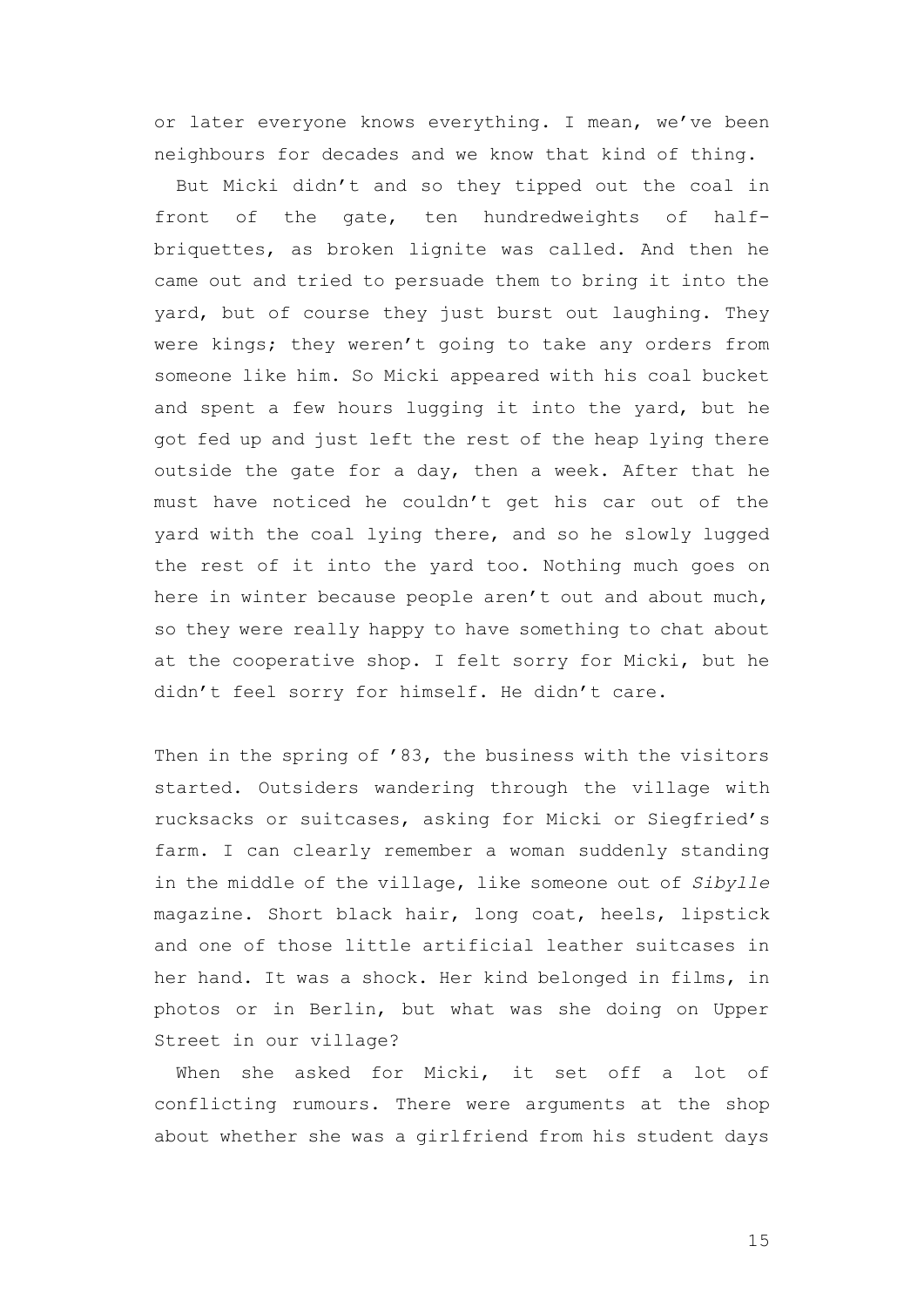or later everyone knows everything. I mean, we've been neighbours for decades and we know that kind of thing.

But Micki didn't and so they tipped out the coal in front of the gate, ten hundredweights of halfbriquettes, as broken lignite was called. And then he came out and tried to persuade them to bring it into the yard, but of course they just burst out laughing. They were kings; they weren't going to take any orders from someone like him. So Micki appeared with his coal bucket and spent a few hours lugging it into the yard, but he got fed up and just left the rest of the heap lying there outside the gate for a day, then a week. After that he must have noticed he couldn't get his car out of the yard with the coal lying there, and so he slowly lugged the rest of it into the yard too. Nothing much goes on here in winter because people aren't out and about much, so they were really happy to have something to chat about at the cooperative shop. I felt sorry for Micki, but he didn't feel sorry for himself. He didn't care.

Then in the spring of '83, the business with the visitors started. Outsiders wandering through the village with rucksacks or suitcases, asking for Micki or Siegfried's farm. I can clearly remember a woman suddenly standing in the middle of the village, like someone out of *Sibylle* magazine. Short black hair, long coat, heels, lipstick and one of those little artificial leather suitcases in her hand. It was a shock. Her kind belonged in films, in photos or in Berlin, but what was she doing on Upper Street in our village?

When she asked for Micki, it set off a lot of conflicting rumours. There were arguments at the shop about whether she was a girlfriend from his student days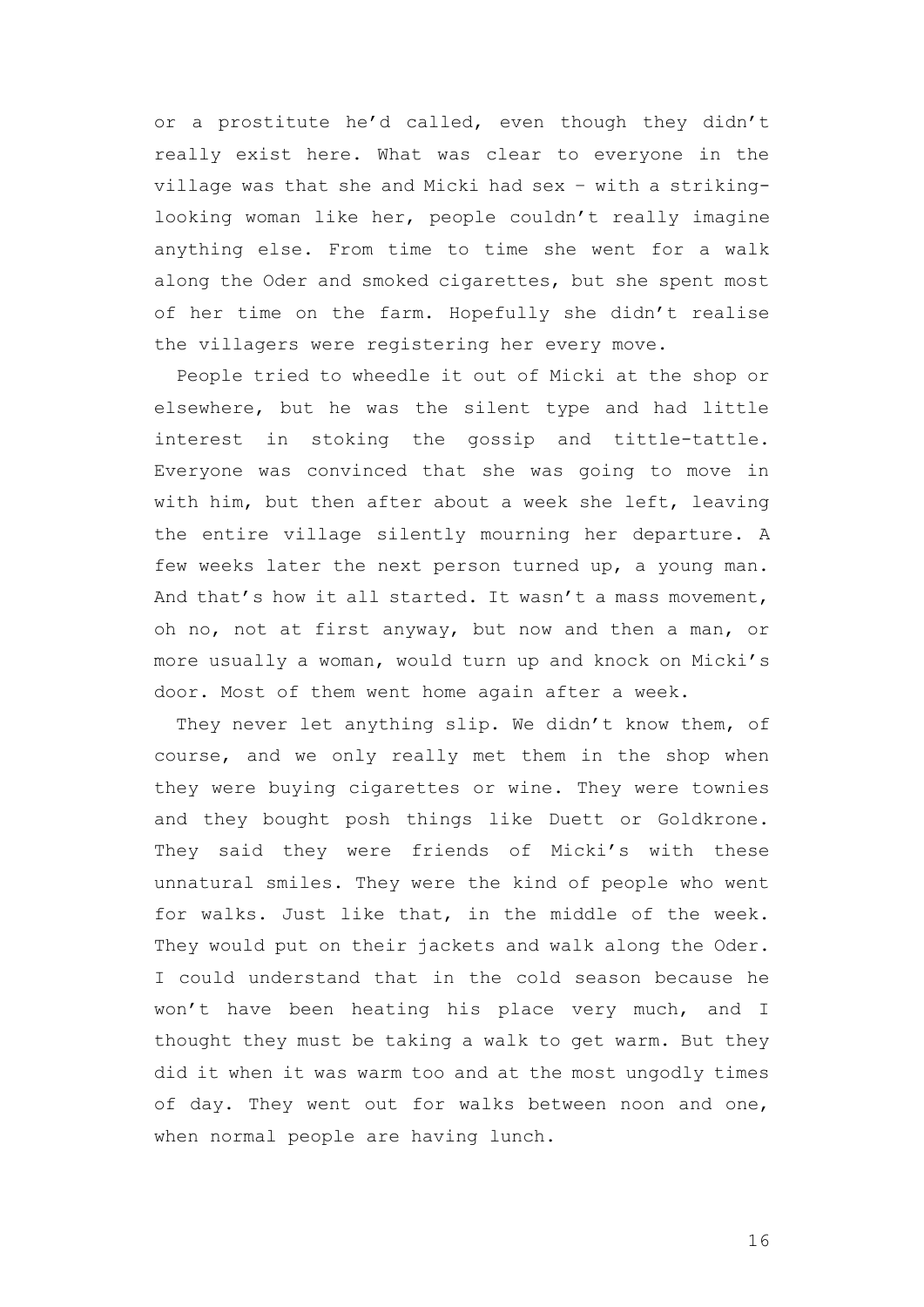or a prostitute he'd called, even though they didn't really exist here. What was clear to everyone in the village was that she and Micki had sex – with a strikinglooking woman like her, people couldn't really imagine anything else. From time to time she went for a walk along the Oder and smoked cigarettes, but she spent most of her time on the farm. Hopefully she didn't realise the villagers were registering her every move.

People tried to wheedle it out of Micki at the shop or elsewhere, but he was the silent type and had little interest in stoking the gossip and tittle-tattle. Everyone was convinced that she was going to move in with him, but then after about a week she left, leaving the entire village silently mourning her departure. A few weeks later the next person turned up, a young man. And that's how it all started. It wasn't a mass movement, oh no, not at first anyway, but now and then a man, or more usually a woman, would turn up and knock on Micki's door. Most of them went home again after a week.

They never let anything slip. We didn't know them, of course, and we only really met them in the shop when they were buying cigarettes or wine. They were townies and they bought posh things like Duett or Goldkrone. They said they were friends of Micki's with these unnatural smiles. They were the kind of people who went for walks. Just like that, in the middle of the week. They would put on their jackets and walk along the Oder. I could understand that in the cold season because he won't have been heating his place very much, and I thought they must be taking a walk to get warm. But they did it when it was warm too and at the most ungodly times of day. They went out for walks between noon and one, when normal people are having lunch.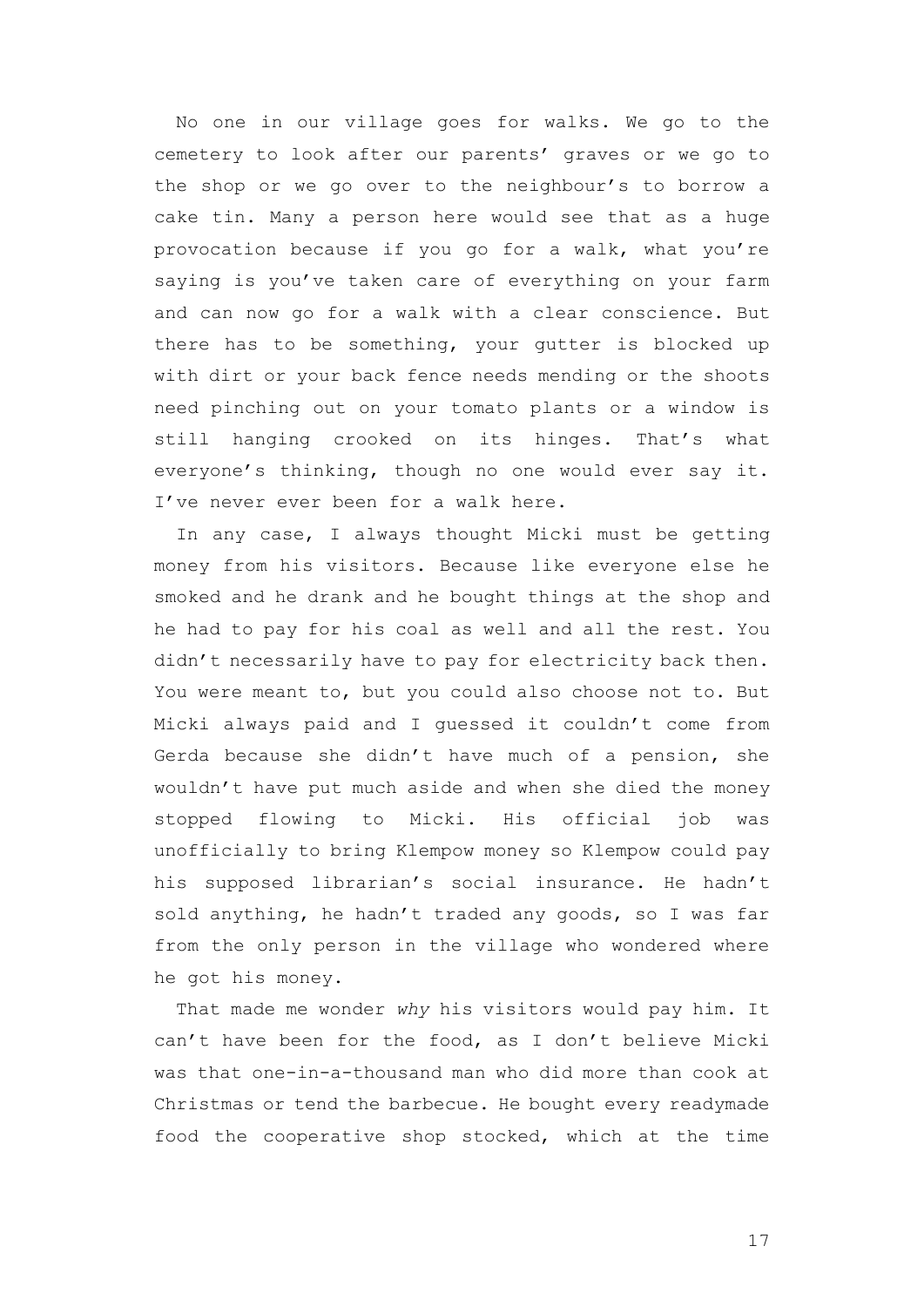No one in our village goes for walks. We go to the cemetery to look after our parents' graves or we go to the shop or we go over to the neighbour's to borrow a cake tin. Many a person here would see that as a huge provocation because if you go for a walk, what you're saying is you've taken care of everything on your farm and can now go for a walk with a clear conscience. But there has to be something, your gutter is blocked up with dirt or your back fence needs mending or the shoots need pinching out on your tomato plants or a window is still hanging crooked on its hinges. That's what everyone's thinking, though no one would ever say it. I've never ever been for a walk here.

In any case, I always thought Micki must be getting money from his visitors. Because like everyone else he smoked and he drank and he bought things at the shop and he had to pay for his coal as well and all the rest. You didn't necessarily have to pay for electricity back then. You were meant to, but you could also choose not to. But Micki always paid and I guessed it couldn't come from Gerda because she didn't have much of a pension, she wouldn't have put much aside and when she died the money stopped flowing to Micki. His official job was unofficially to bring Klempow money so Klempow could pay his supposed librarian's social insurance. He hadn't sold anything, he hadn't traded any goods, so I was far from the only person in the village who wondered where he got his money.

That made me wonder *why* his visitors would pay him. It can't have been for the food, as I don't believe Micki was that one-in-a-thousand man who did more than cook at Christmas or tend the barbecue. He bought every readymade food the cooperative shop stocked, which at the time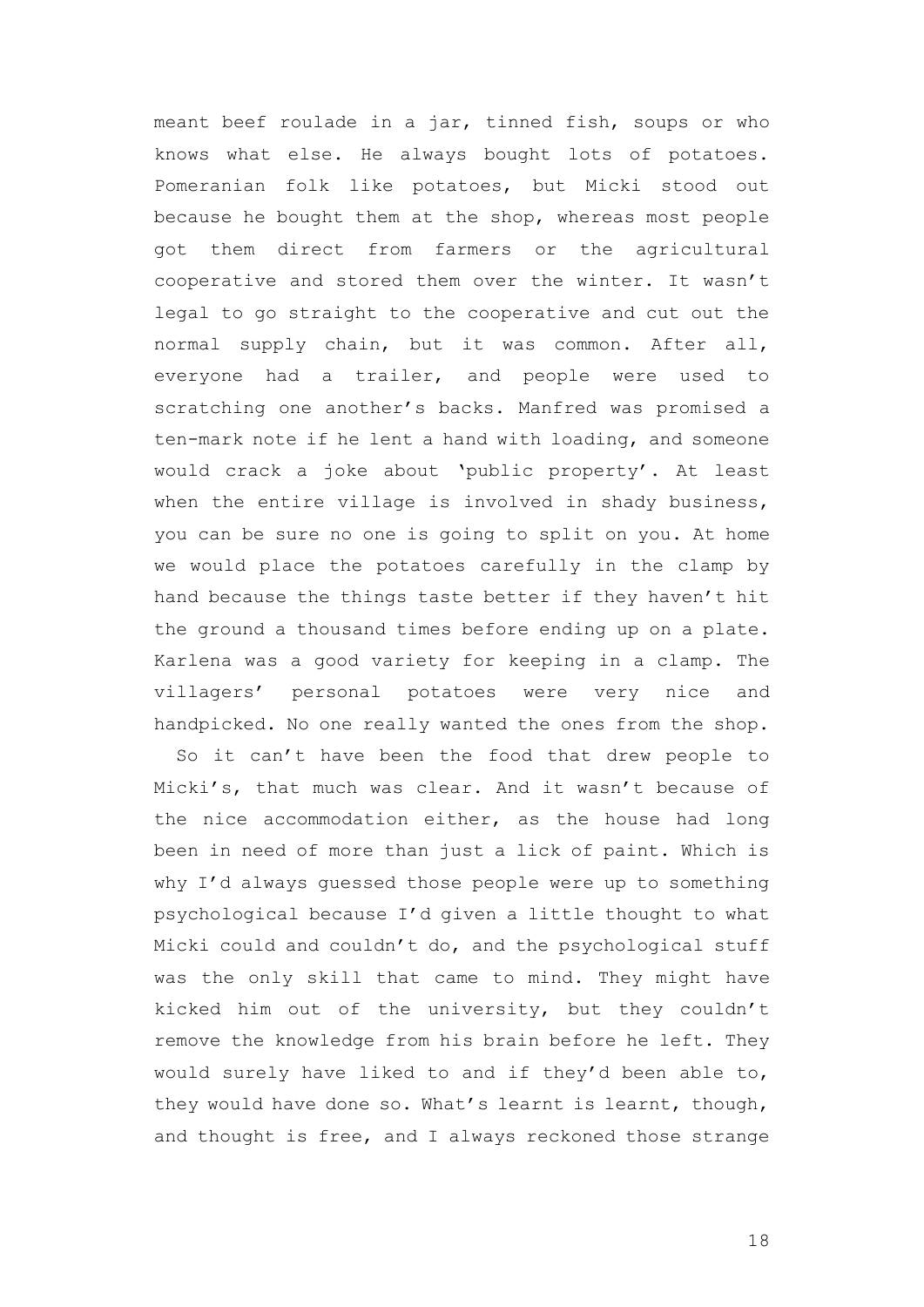meant beef roulade in a jar, tinned fish, soups or who knows what else. He always bought lots of potatoes. Pomeranian folk like potatoes, but Micki stood out because he bought them at the shop, whereas most people got them direct from farmers or the agricultural cooperative and stored them over the winter. It wasn't legal to go straight to the cooperative and cut out the normal supply chain, but it was common. After all, everyone had a trailer, and people were used to scratching one another's backs. Manfred was promised a ten-mark note if he lent a hand with loading, and someone would crack a joke about 'public property'. At least when the entire village is involved in shady business, you can be sure no one is going to split on you. At home we would place the potatoes carefully in the clamp by hand because the things taste better if they haven't hit the ground a thousand times before ending up on a plate. Karlena was a good variety for keeping in a clamp. The villagers' personal potatoes were very nice and handpicked. No one really wanted the ones from the shop.

So it can't have been the food that drew people to Micki's, that much was clear. And it wasn't because of the nice accommodation either, as the house had long been in need of more than just a lick of paint. Which is why I'd always guessed those people were up to something psychological because I'd given a little thought to what Micki could and couldn't do, and the psychological stuff was the only skill that came to mind. They might have kicked him out of the university, but they couldn't remove the knowledge from his brain before he left. They would surely have liked to and if they'd been able to, they would have done so. What's learnt is learnt, though, and thought is free, and I always reckoned those strange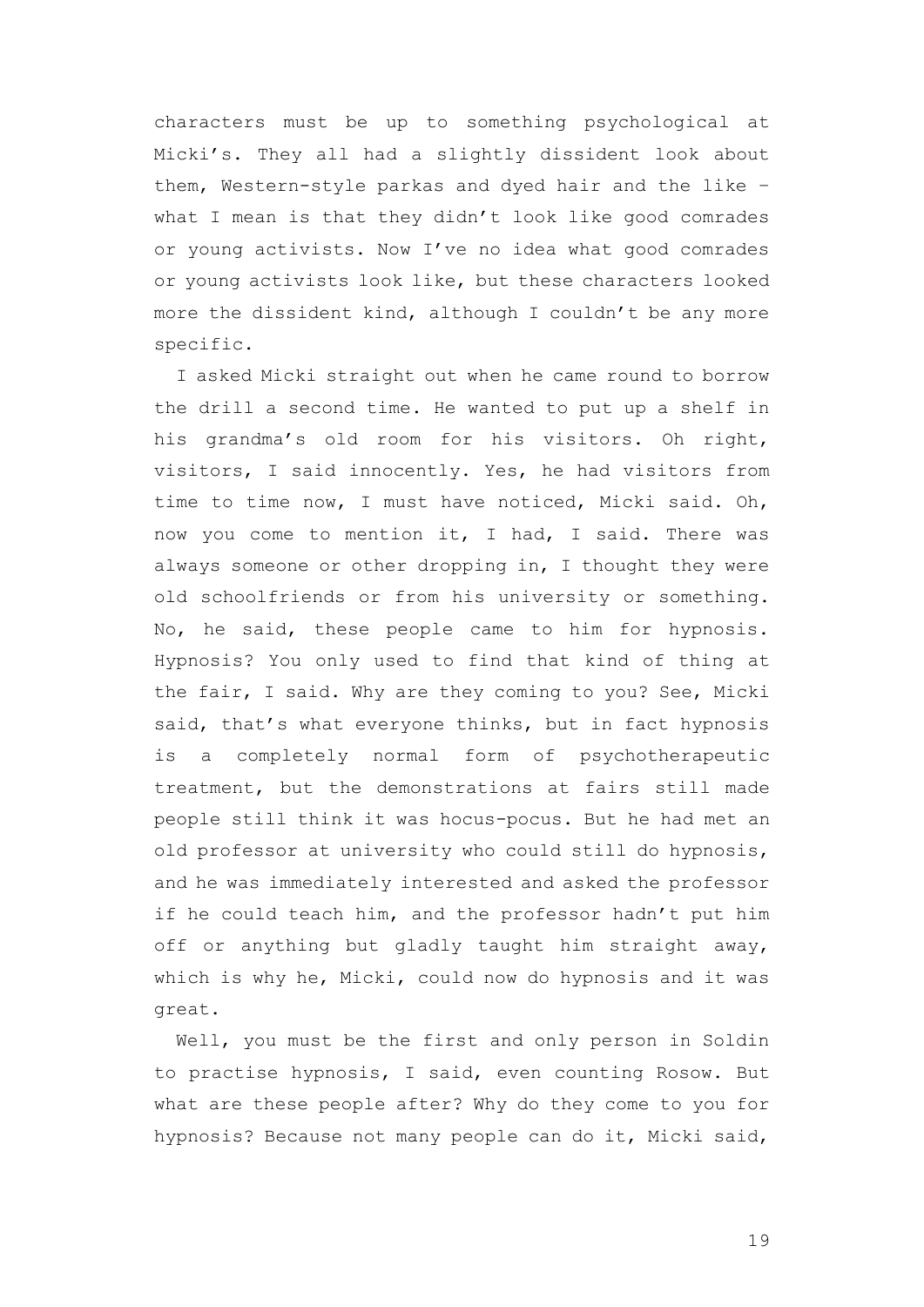characters must be up to something psychological at Micki's. They all had a slightly dissident look about them, Western-style parkas and dyed hair and the like – what I mean is that they didn't look like good comrades or young activists. Now I've no idea what good comrades or young activists look like, but these characters looked more the dissident kind, although I couldn't be any more specific.

I asked Micki straight out when he came round to borrow the drill a second time. He wanted to put up a shelf in his grandma's old room for his visitors. Oh right, visitors, I said innocently. Yes, he had visitors from time to time now, I must have noticed, Micki said. Oh, now you come to mention it, I had, I said. There was always someone or other dropping in, I thought they were old schoolfriends or from his university or something. No, he said, these people came to him for hypnosis. Hypnosis? You only used to find that kind of thing at the fair, I said. Why are they coming to you? See, Micki said, that's what everyone thinks, but in fact hypnosis is a completely normal form of psychotherapeutic treatment, but the demonstrations at fairs still made people still think it was hocus-pocus. But he had met an old professor at university who could still do hypnosis, and he was immediately interested and asked the professor if he could teach him, and the professor hadn't put him off or anything but gladly taught him straight away, which is why he, Micki, could now do hypnosis and it was great.

Well, you must be the first and only person in Soldin to practise hypnosis, I said, even counting Rosow. But what are these people after? Why do they come to you for hypnosis? Because not many people can do it, Micki said,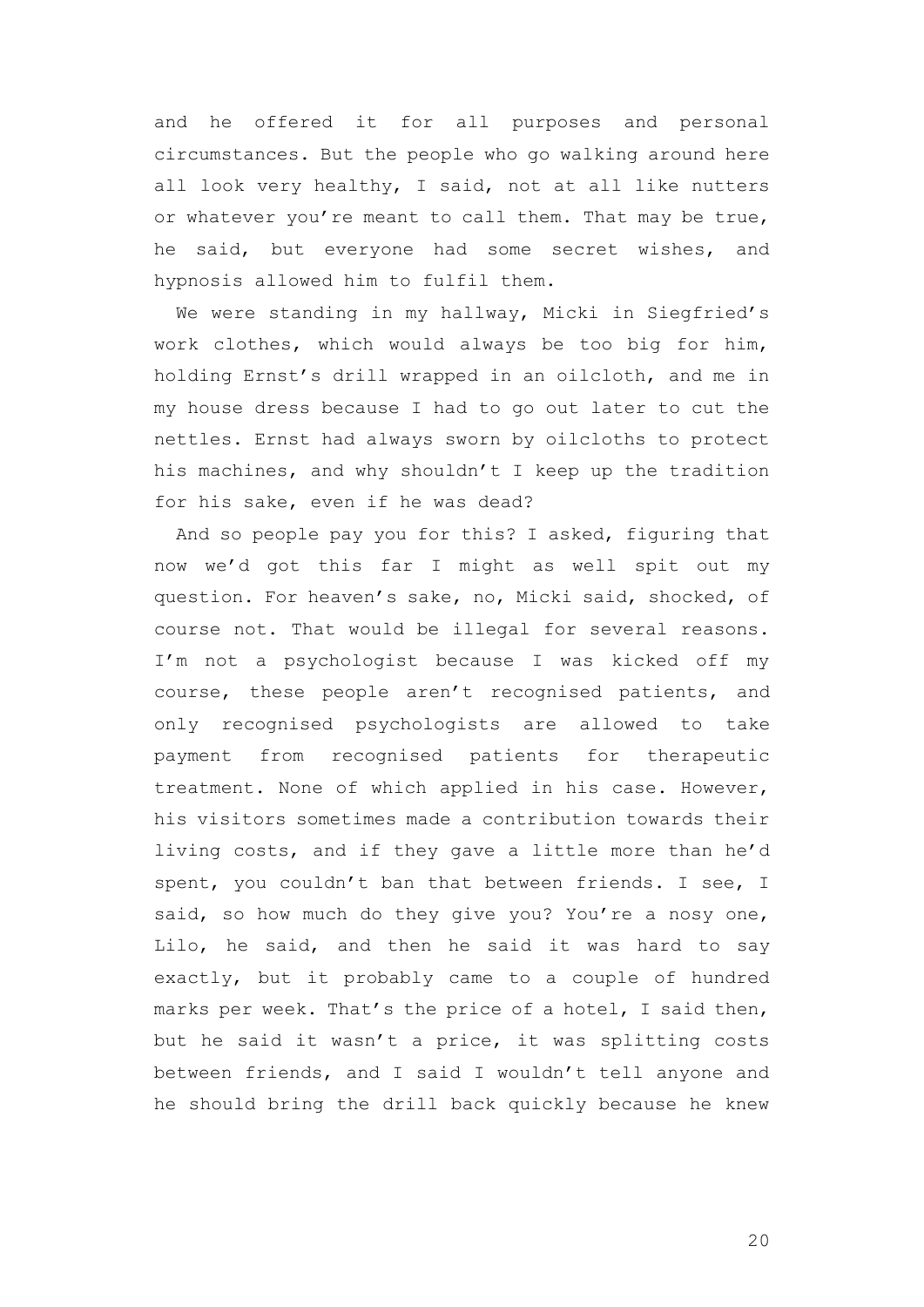and he offered it for all purposes and personal circumstances. But the people who go walking around here all look very healthy, I said, not at all like nutters or whatever you're meant to call them. That may be true, he said, but everyone had some secret wishes, and hypnosis allowed him to fulfil them.

We were standing in my hallway, Micki in Siegfried's work clothes, which would always be too big for him, holding Ernst's drill wrapped in an oilcloth, and me in my house dress because I had to go out later to cut the nettles. Ernst had always sworn by oilcloths to protect his machines, and why shouldn't I keep up the tradition for his sake, even if he was dead?

And so people pay you for this? I asked, figuring that now we'd got this far I might as well spit out my question. For heaven's sake, no, Micki said, shocked, of course not. That would be illegal for several reasons. I'm not a psychologist because I was kicked off my course, these people aren't recognised patients, and only recognised psychologists are allowed to take payment from recognised patients for therapeutic treatment. None of which applied in his case. However, his visitors sometimes made a contribution towards their living costs, and if they gave a little more than he'd spent, you couldn't ban that between friends. I see, I said, so how much do they give you? You're a nosy one, Lilo, he said, and then he said it was hard to say exactly, but it probably came to a couple of hundred marks per week. That's the price of a hotel, I said then, but he said it wasn't a price, it was splitting costs between friends, and I said I wouldn't tell anyone and he should bring the drill back quickly because he knew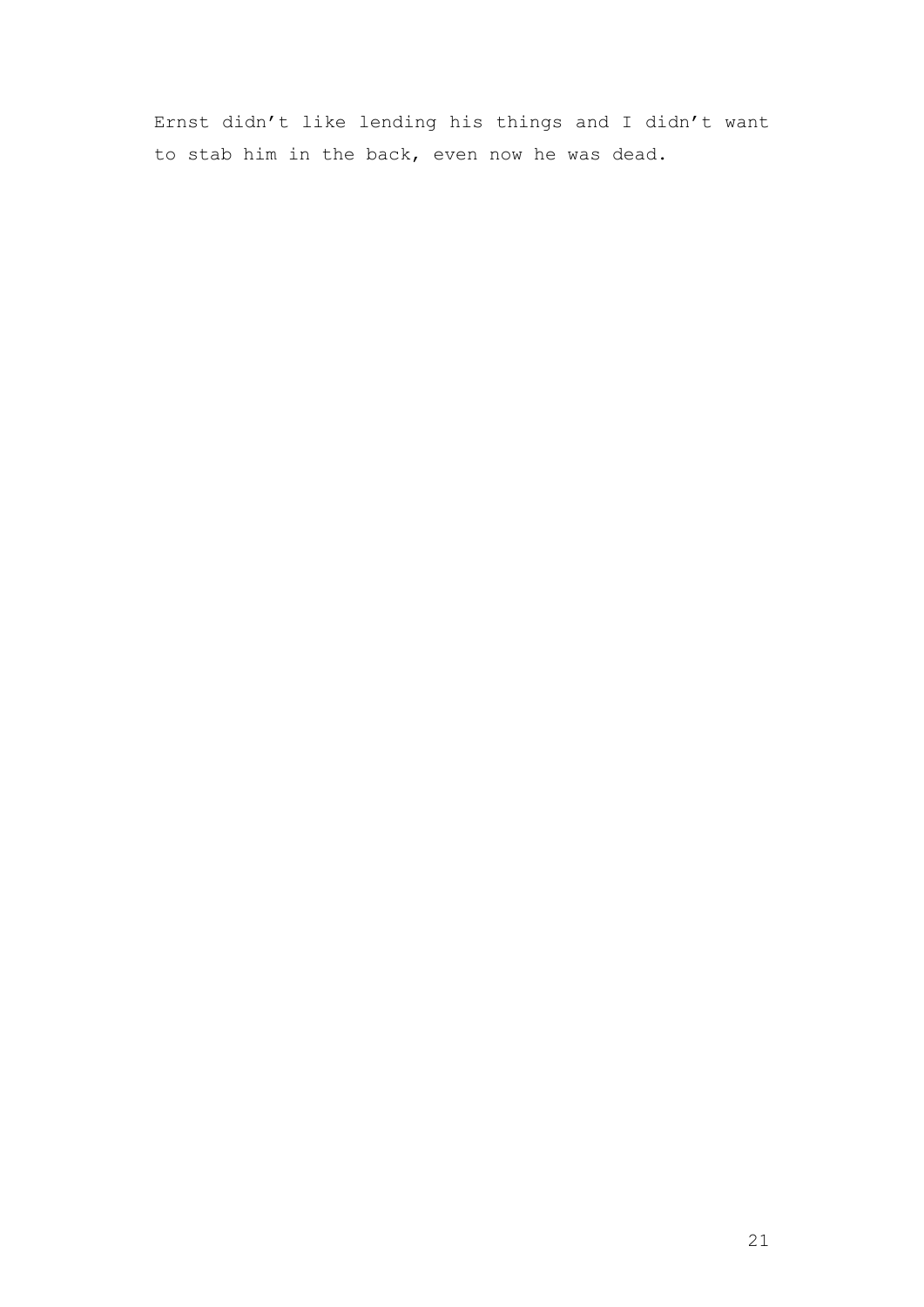Ernst didn't like lending his things and I didn't want to stab him in the back, even now he was dead.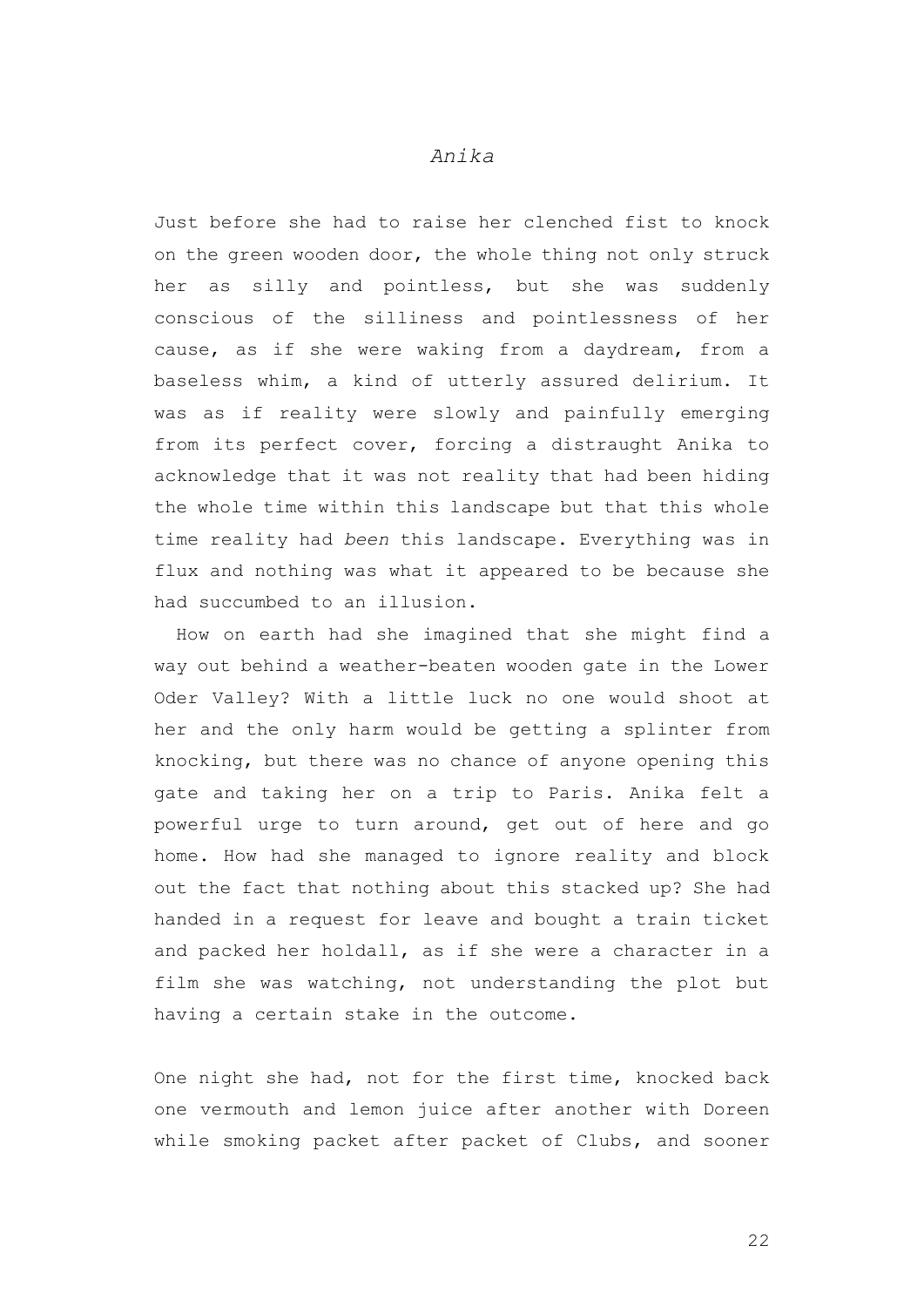## *Anika*

Just before she had to raise her clenched fist to knock on the green wooden door, the whole thing not only struck her as silly and pointless, but she was suddenly conscious of the silliness and pointlessness of her cause, as if she were waking from a daydream, from a baseless whim, a kind of utterly assured delirium. It was as if reality were slowly and painfully emerging from its perfect cover, forcing a distraught Anika to acknowledge that it was not reality that had been hiding the whole time within this landscape but that this whole time reality had *been* this landscape. Everything was in flux and nothing was what it appeared to be because she had succumbed to an illusion.

How on earth had she imagined that she might find a way out behind a weather-beaten wooden gate in the Lower Oder Valley? With a little luck no one would shoot at her and the only harm would be getting a splinter from knocking, but there was no chance of anyone opening this gate and taking her on a trip to Paris. Anika felt a powerful urge to turn around, get out of here and go home. How had she managed to ignore reality and block out the fact that nothing about this stacked up? She had handed in a request for leave and bought a train ticket and packed her holdall, as if she were a character in a film she was watching, not understanding the plot but having a certain stake in the outcome.

One night she had, not for the first time, knocked back one vermouth and lemon juice after another with Doreen while smoking packet after packet of Clubs, and sooner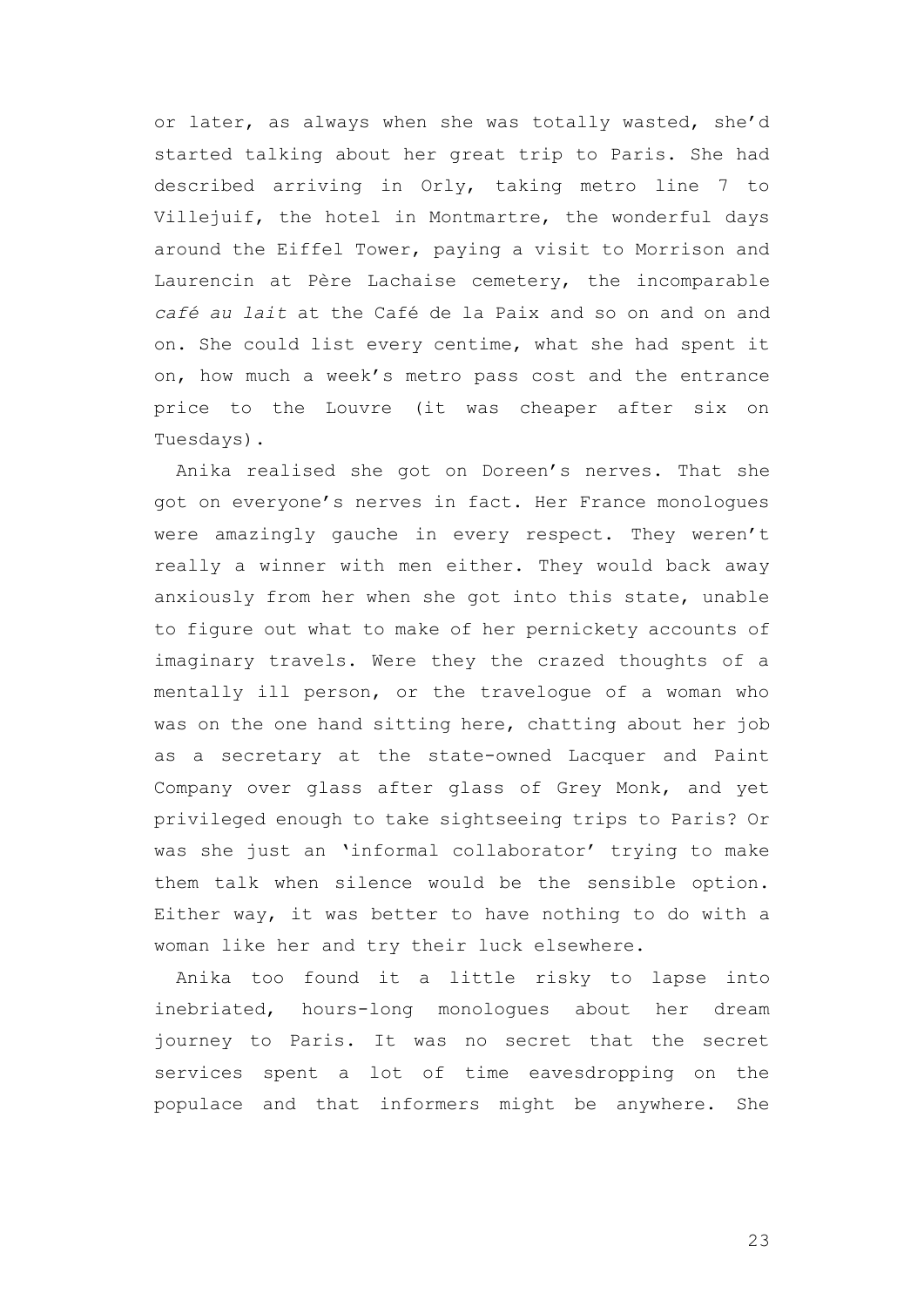or later, as always when she was totally wasted, she'd started talking about her great trip to Paris. She had described arriving in Orly, taking metro line 7 to Villejuif, the hotel in Montmartre, the wonderful days around the Eiffel Tower, paying a visit to Morrison and Laurencin at Père Lachaise cemetery, the incomparable *café au lait* at the Café de la Paix and so on and on and on. She could list every centime, what she had spent it on, how much a week's metro pass cost and the entrance price to the Louvre (it was cheaper after six on Tuesdays).

Anika realised she got on Doreen's nerves. That she got on everyone's nerves in fact. Her France monologues were amazingly gauche in every respect. They weren't really a winner with men either. They would back away anxiously from her when she got into this state, unable to figure out what to make of her pernickety accounts of imaginary travels. Were they the crazed thoughts of a mentally ill person, or the travelogue of a woman who was on the one hand sitting here, chatting about her job as a secretary at the state-owned Lacquer and Paint Company over glass after glass of Grey Monk, and yet privileged enough to take sightseeing trips to Paris? Or was she just an 'informal collaborator' trying to make them talk when silence would be the sensible option. Either way, it was better to have nothing to do with a woman like her and try their luck elsewhere.

Anika too found it a little risky to lapse into inebriated, hours-long monologues about her dream journey to Paris. It was no secret that the secret services spent a lot of time eavesdropping on the populace and that informers might be anywhere. She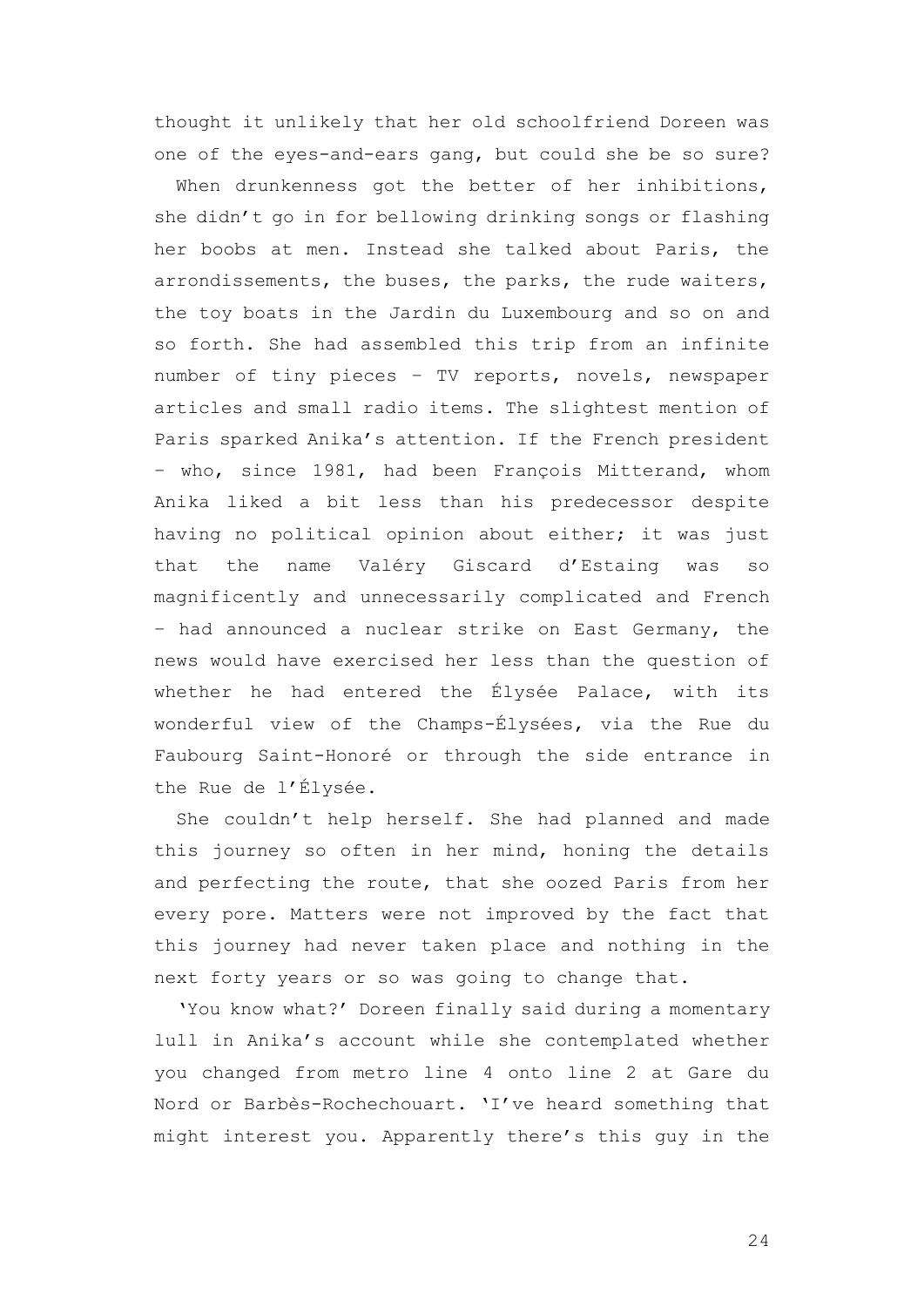thought it unlikely that her old schoolfriend Doreen was one of the eyes-and-ears gang, but could she be so sure?

When drunkenness got the better of her inhibitions, she didn't go in for bellowing drinking songs or flashing her boobs at men. Instead she talked about Paris, the arrondissements, the buses, the parks, the rude waiters, the toy boats in the Jardin du Luxembourg and so on and so forth. She had assembled this trip from an infinite number of tiny pieces – TV reports, novels, newspaper articles and small radio items. The slightest mention of Paris sparked Anika's attention. If the French president – who, since 1981, had been François Mitterand, whom Anika liked a bit less than his predecessor despite having no political opinion about either; it was just that the name Valéry Giscard d'Estaing was so magnificently and unnecessarily complicated and French – had announced a nuclear strike on East Germany, the news would have exercised her less than the question of whether he had entered the Élysée Palace, with its wonderful view of the Champs-Élysées, via the Rue du Faubourg Saint-Honoré or through the side entrance in the Rue de l'Élysée.

She couldn't help herself. She had planned and made this journey so often in her mind, honing the details and perfecting the route, that she oozed Paris from her every pore. Matters were not improved by the fact that this journey had never taken place and nothing in the next forty years or so was going to change that.

'You know what?' Doreen finally said during a momentary lull in Anika's account while she contemplated whether you changed from metro line 4 onto line 2 at Gare du Nord or Barbès-Rochechouart. 'I've heard something that might interest you. Apparently there's this guy in the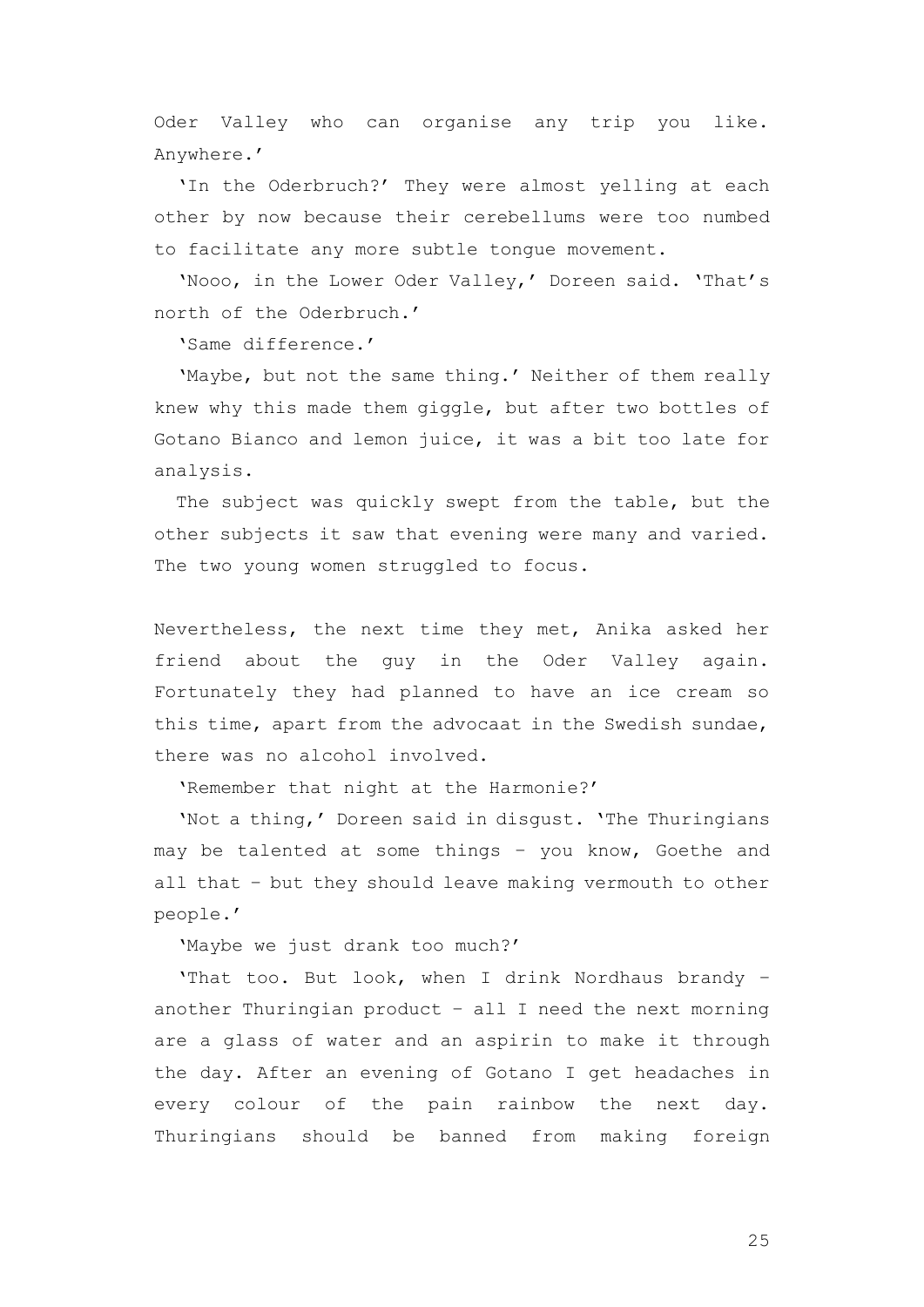Oder Valley who can organise any trip you like. Anywhere.'

'In the Oderbruch?' They were almost yelling at each other by now because their cerebellums were too numbed to facilitate any more subtle tongue movement.

'Nooo, in the Lower Oder Valley,' Doreen said. 'That's north of the Oderbruch.'

'Same difference.'

'Maybe, but not the same thing.' Neither of them really knew why this made them giggle, but after two bottles of Gotano Bianco and lemon juice, it was a bit too late for analysis.

The subject was quickly swept from the table, but the other subjects it saw that evening were many and varied. The two young women struggled to focus.

Nevertheless, the next time they met, Anika asked her friend about the guy in the Oder Valley again. Fortunately they had planned to have an ice cream so this time, apart from the advocaat in the Swedish sundae, there was no alcohol involved.

'Remember that night at the Harmonie?'

'Not a thing,' Doreen said in disgust. 'The Thuringians may be talented at some things – you know, Goethe and all that – but they should leave making vermouth to other people.'

'Maybe we just drank too much?'

'That too. But look, when I drink Nordhaus brandy – another Thuringian product – all I need the next morning are a glass of water and an aspirin to make it through the day. After an evening of Gotano I get headaches in every colour of the pain rainbow the next day. Thuringians should be banned from making foreign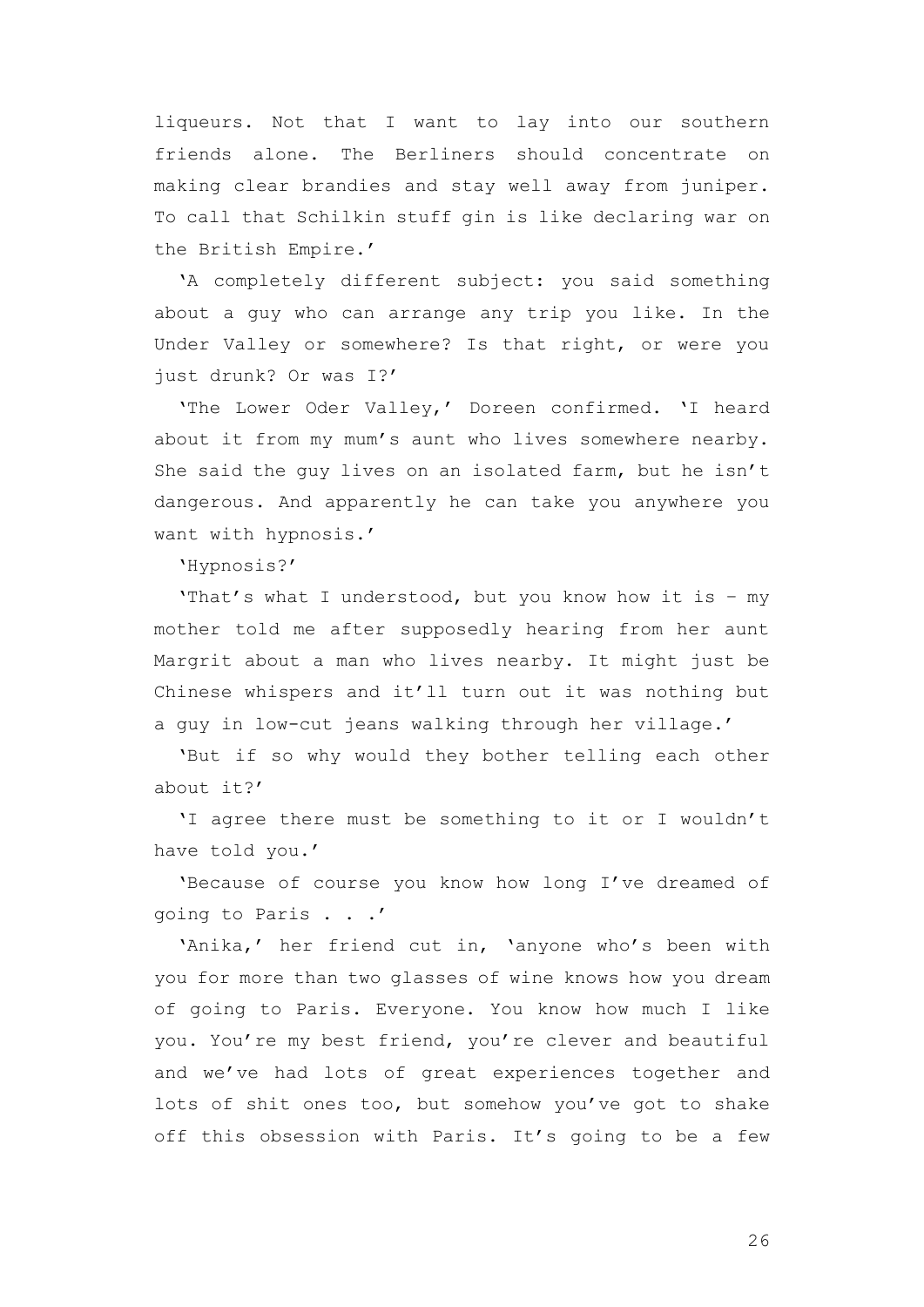liqueurs. Not that I want to lay into our southern friends alone. The Berliners should concentrate on making clear brandies and stay well away from juniper. To call that Schilkin stuff gin is like declaring war on the British Empire.'

'A completely different subject: you said something about a guy who can arrange any trip you like. In the Under Valley or somewhere? Is that right, or were you just drunk? Or was I?'

'The Lower Oder Valley,' Doreen confirmed. 'I heard about it from my mum's aunt who lives somewhere nearby. She said the guy lives on an isolated farm, but he isn't dangerous. And apparently he can take you anywhere you want with hypnosis.'

'Hypnosis?'

'That's what I understood, but you know how it is – my mother told me after supposedly hearing from her aunt Margrit about a man who lives nearby. It might just be Chinese whispers and it'll turn out it was nothing but a guy in low-cut jeans walking through her village.'

'But if so why would they bother telling each other about it?'

'I agree there must be something to it or I wouldn't have told you.'

'Because of course you know how long I've dreamed of going to Paris . . .'

'Anika,' her friend cut in, 'anyone who's been with you for more than two glasses of wine knows how you dream of going to Paris. Everyone. You know how much I like you. You're my best friend, you're clever and beautiful and we've had lots of great experiences together and lots of shit ones too, but somehow you've got to shake off this obsession with Paris. It's going to be a few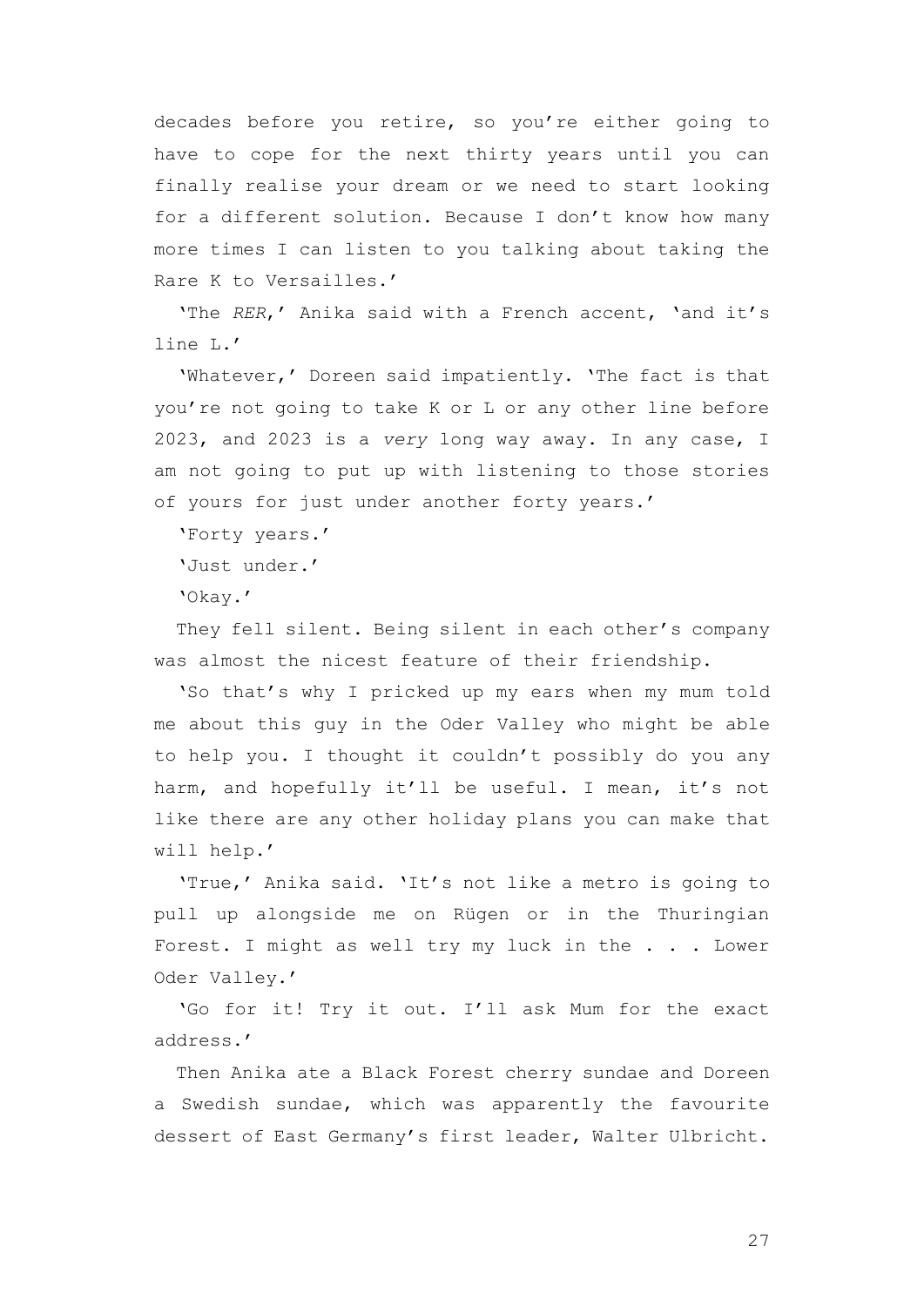decades before you retire, so you're either going to have to cope for the next thirty years until you can finally realise your dream or we need to start looking for a different solution. Because I don't know how many more times I can listen to you talking about taking the Rare K to Versailles.'

'The *RER*,' Anika said with a French accent, 'and it's line L.'

'Whatever,' Doreen said impatiently. 'The fact is that you're not going to take K or L or any other line before 2023, and 2023 is a *very* long way away. In any case, I am not going to put up with listening to those stories of yours for just under another forty years.'

'Forty years.'

'Just under.'

'Okay.'

They fell silent. Being silent in each other's company was almost the nicest feature of their friendship.

'So that's why I pricked up my ears when my mum told me about this guy in the Oder Valley who might be able to help you. I thought it couldn't possibly do you any harm, and hopefully it'll be useful. I mean, it's not like there are any other holiday plans you can make that will help.'

'True,' Anika said. 'It's not like a metro is going to pull up alongside me on Rügen or in the Thuringian Forest. I might as well try my luck in the . . . Lower Oder Valley.'

'Go for it! Try it out. I'll ask Mum for the exact address.'

Then Anika ate a Black Forest cherry sundae and Doreen a Swedish sundae, which was apparently the favourite dessert of East Germany's first leader, Walter Ulbricht.